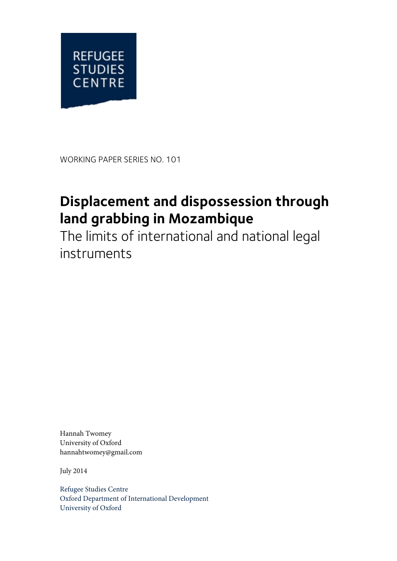

WORKING PAPER SERIES NO. 101

# **Displacement and dispossession through land grabbing in Mozambique**

The limits of international and national legal instruments

Hannah Twomey University of Oxford hannahtwomey@gmail.com

July 2014

Refugee Studies Centre Oxford Department of International Development University of Oxford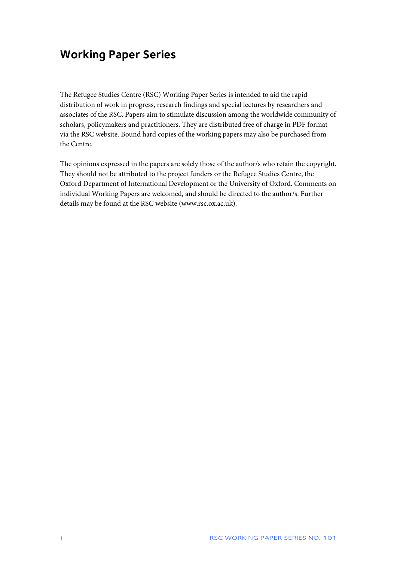# **Working Paper Series**

The Refugee Studies Centre (RSC) Working Paper Series is intended to aid the rapid distribution of work in progress, research findings and special lectures by researchers and associates of the RSC. Papers aim to stimulate discussion among the worldwide community of scholars, policymakers and practitioners. They are distributed free of charge in PDF format via the RSC website. Bound hard copies of the working papers may also be purchased from the Centre.

The opinions expressed in the papers are solely those of the author/s who retain the copyright. They should not be attributed to the project funders or the Refugee Studies Centre, the Oxford Department of International Development or the University of Oxford. Comments on individual Working Papers are welcomed, and should be directed to the author/s. Further details may be found at the RSC website (www.rsc.ox.ac.uk).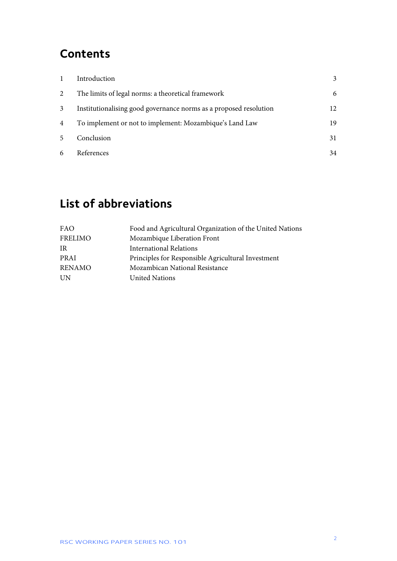# **Contents**

|                 | Introduction                                                      |    |
|-----------------|-------------------------------------------------------------------|----|
| 2               | The limits of legal norms: a theoretical framework                | 6  |
| $\mathbf{3}$    | Institutionalising good governance norms as a proposed resolution | 12 |
| $\overline{4}$  | To implement or not to implement: Mozambique's Land Law           | 19 |
| $5\overline{)}$ | Conclusion                                                        | 31 |
| 6               | References                                                        | 34 |

# **List of abbreviations**

| FAO           | Food and Agricultural Organization of the United Nations |
|---------------|----------------------------------------------------------|
| FRELIMO       | Mozambique Liberation Front                              |
| <b>IR</b>     | <b>International Relations</b>                           |
| PRAI          | Principles for Responsible Agricultural Investment       |
| <b>RENAMO</b> | Mozambican National Resistance                           |
| UN            | <b>United Nations</b>                                    |
|               |                                                          |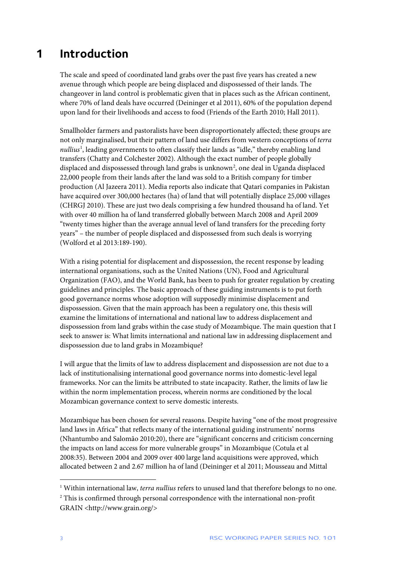# <span id="page-3-0"></span>**1 Introduction**

The scale and speed of coordinated land grabs over the past five years has created a new avenue through which people are being displaced and dispossessed of their lands. The changeover in land control is problematic given that in places such as the African continent, where 70% of land deals have occurred (Deininger et al 2011), 60% of the population depend upon land for their livelihoods and access to food (Friends of the Earth 2010; Hall 2011).

Smallholder farmers and pastoralists have been disproportionately affected; these groups are not only marginalised, but their pattern of land use differs from western conceptions of *terra*  nullius<sup>[1](#page-3-1)</sup>, leading governments to often classify their lands as "idle," thereby enabling land transfers (Chatty and Colchester 2002). Although the exact number of people globally displaced and dispossessed through land grabs is unknown<sup>[2](#page-3-2)</sup>, one deal in Uganda displaced 22,000 people from their lands after the land was sold to a British company for timber production (Al Jazeera 2011). Media reports also indicate that Qatari companies in Pakistan have acquired over 300,000 hectares (ha) of land that will potentially displace 25,000 villages (CHRGJ 2010). These are just two deals comprising a few hundred thousand ha of land. Yet with over 40 million ha of land transferred globally between March 2008 and April 2009 "twenty times higher than the average annual level of land transfers for the preceding forty years" – the number of people displaced and dispossessed from such deals is worrying (Wolford et al 2013:189-190).

With a rising potential for displacement and dispossession, the recent response by leading international organisations, such as the United Nations (UN), Food and Agricultural Organization (FAO), and the World Bank, has been to push for greater regulation by creating guidelines and principles. The basic approach of these guiding instruments is to put forth good governance norms whose adoption will supposedly minimise displacement and dispossession. Given that the main approach has been a regulatory one, this thesis will examine the limitations of international and national law to address displacement and dispossession from land grabs within the case study of Mozambique. The main question that I seek to answer is: What limits international and national law in addressing displacement and dispossession due to land grabs in Mozambique?

I will argue that the limits of law to address displacement and dispossession are not due to a lack of institutionalising international good governance norms into domestic-level legal frameworks. Nor can the limits be attributed to state incapacity. Rather, the limits of law lie within the norm implementation process, wherein norms are conditioned by the local Mozambican governance context to serve domestic interests.

Mozambique has been chosen for several reasons. Despite having "one of the most progressive land laws in Africa" that reflects many of the international guiding instruments' norms (Nhantumbo and Salomão 2010:20), there are "significant concerns and criticism concerning the impacts on land access for more vulnerable groups" in Mozambique (Cotula et al 2008:35). Between 2004 and 2009 over 400 large land acquisitions were approved, which allocated between 2 and 2.67 million ha of land (Deininger et al 2011; Mousseau and Mittal

 $\overline{a}$ 

<span id="page-3-2"></span><span id="page-3-1"></span><sup>1</sup> Within international law, *terra nullius* refers to unused land that therefore belongs to no one. <sup>2</sup> This is confirmed through personal correspondence with the international non-profit GRAIN <http://www.grain.org/>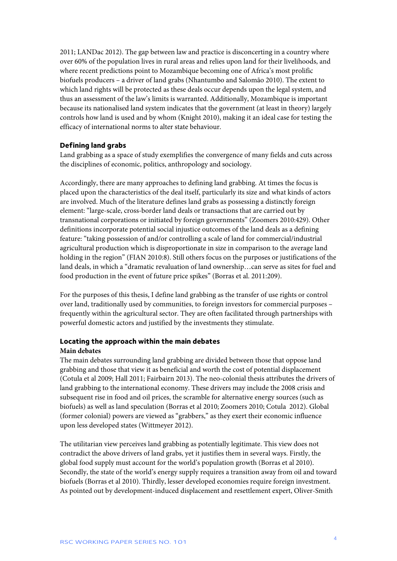2011; LANDac 2012). The gap between law and practice is disconcerting in a country where over 60% of the population lives in rural areas and relies upon land for their livelihoods, and where recent predictions point to Mozambique becoming one of Africa's most prolific biofuels producers – a driver of land grabs (Nhantumbo and Salomão 2010). The extent to which land rights will be protected as these deals occur depends upon the legal system, and thus an assessment of the law's limits is warranted. Additionally, Mozambique is important because its nationalised land system indicates that the government (at least in theory) largely controls how land is used and by whom (Knight 2010), making it an ideal case for testing the efficacy of international norms to alter state behaviour.

# **Defining land grabs**

Land grabbing as a space of study exemplifies the convergence of many fields and cuts across the disciplines of economic, politics, anthropology and sociology.

Accordingly, there are many approaches to defining land grabbing. At times the focus is placed upon the characteristics of the deal itself, particularly its size and what kinds of actors are involved. Much of the literature defines land grabs as possessing a distinctly foreign element: "large-scale, cross-border land deals or transactions that are carried out by transnational corporations or initiated by foreign governments" (Zoomers 2010:429). Other definitions incorporate potential social injustice outcomes of the land deals as a defining feature: "taking possession of and/or controlling a scale of land for commercial/industrial agricultural production which is disproportionate in size in comparison to the average land holding in the region" (FIAN 2010:8). Still others focus on the purposes or justifications of the land deals, in which a "dramatic revaluation of land ownership…can serve as sites for fuel and food production in the event of future price spikes" (Borras et al. 2011:209).

For the purposes of this thesis, I define land grabbing as the transfer of use rights or control over land, traditionally used by communities, to foreign investors for commercial purposes – frequently within the agricultural sector. They are often facilitated through partnerships with powerful domestic actors and justified by the investments they stimulate.

# **Locating the approach within the main debates**

## **Main debates**

The main debates surrounding land grabbing are divided between those that oppose land grabbing and those that view it as beneficial and worth the cost of potential displacement (Cotula et al 2009; Hall 2011; Fairbairn 2013). The neo-colonial thesis attributes the drivers of land grabbing to the international economy. These drivers may include the 2008 crisis and subsequent rise in food and oil prices, the scramble for alternative energy sources (such as biofuels) as well as land speculation (Borras et al 2010; Zoomers 2010; Cotula 2012). Global (former colonial) powers are viewed as "grabbers," as they exert their economic influence upon less developed states (Wittmeyer 2012).

The utilitarian view perceives land grabbing as potentially legitimate. This view does not contradict the above drivers of land grabs, yet it justifies them in several ways. Firstly, the global food supply must account for the world's population growth (Borras et al 2010). Secondly, the state of the world's energy supply requires a transition away from oil and toward biofuels (Borras et al 2010). Thirdly, lesser developed economies require foreign investment. As pointed out by development-induced displacement and resettlement expert, Oliver-Smith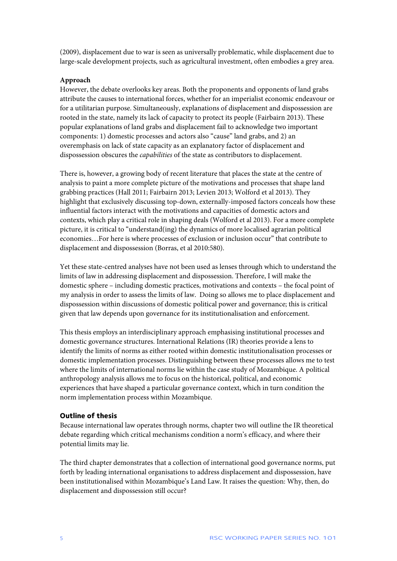(2009), displacement due to war is seen as universally problematic, while displacement due to large-scale development projects, such as agricultural investment, often embodies a grey area.

### **Approach**

However, the debate overlooks key areas. Both the proponents and opponents of land grabs attribute the causes to international forces, whether for an imperialist economic endeavour or for a utilitarian purpose. Simultaneously, explanations of displacement and dispossession are rooted in the state, namely its lack of capacity to protect its people (Fairbairn 2013). These popular explanations of land grabs and displacement fail to acknowledge two important components: 1) domestic processes and actors also "cause" land grabs, and 2) an overemphasis on lack of state capacity as an explanatory factor of displacement and dispossession obscures the *capabilities* of the state as contributors to displacement.

There is, however, a growing body of recent literature that places the state at the centre of analysis to paint a more complete picture of the motivations and processes that shape land grabbing practices (Hall 2011; Fairbairn 2013; Levien 2013; Wolford et al 2013). They highlight that exclusively discussing top-down, externally-imposed factors conceals how these influential factors interact with the motivations and capacities of domestic actors and contexts, which play a critical role in shaping deals (Wolford et al 2013). For a more complete picture, it is critical to "understand(ing) the dynamics of more localised agrarian political economies…For here is where processes of exclusion or inclusion occur" that contribute to displacement and dispossession (Borras, et al 2010:580).

Yet these state-centred analyses have not been used as lenses through which to understand the limits of law in addressing displacement and dispossession. Therefore, I will make the domestic sphere – including domestic practices, motivations and contexts – the focal point of my analysis in order to assess the limits of law. Doing so allows me to place displacement and dispossession within discussions of domestic political power and governance; this is critical given that law depends upon governance for its institutionalisation and enforcement.

This thesis employs an interdisciplinary approach emphasising institutional processes and domestic governance structures. International Relations (IR) theories provide a lens to identify the limits of norms as either rooted within domestic institutionalisation processes or domestic implementation processes. Distinguishing between these processes allows me to test where the limits of international norms lie within the case study of Mozambique. A political anthropology analysis allows me to focus on the historical, political, and economic experiences that have shaped a particular governance context, which in turn condition the norm implementation process within Mozambique.

### **Outline of thesis**

Because international law operates through norms, chapter two will outline the IR theoretical debate regarding which critical mechanisms condition a norm's efficacy, and where their potential limits may lie.

The third chapter demonstrates that a collection of international good governance norms, put forth by leading international organisations to address displacement and dispossession, have been institutionalised within Mozambique's Land Law. It raises the question: Why, then, do displacement and dispossession still occur?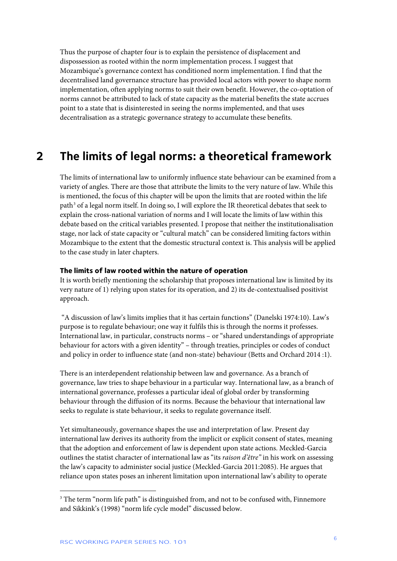Thus the purpose of chapter four is to explain the persistence of displacement and dispossession as rooted within the norm implementation process. I suggest that Mozambique's governance context has conditioned norm implementation. I find that the decentralised land governance structure has provided local actors with power to shape norm implementation, often applying norms to suit their own benefit. However, the co-optation of norms cannot be attributed to lack of state capacity as the material benefits the state accrues point to a state that is disinterested in seeing the norms implemented, and that uses decentralisation as a strategic governance strategy to accumulate these benefits.

# <span id="page-6-0"></span>**2 The limits of legal norms: a theoretical framework**

The limits of international law to uniformly influence state behaviour can be examined from a variety of angles. There are those that attribute the limits to the very nature of law. While this is mentioned, the focus of this chapter will be upon the limits that are rooted within the life path<sup>[3](#page-6-1)</sup> of a legal norm itself. In doing so, I will explore the IR theoretical debates that seek to explain the cross-national variation of norms and I will locate the limits of law within this debate based on the critical variables presented. I propose that neither the institutionalisation stage, nor lack of state capacity or "cultural match" can be considered limiting factors within Mozambique to the extent that the domestic structural context is. This analysis will be applied to the case study in later chapters.

#### **The limits of law rooted within the nature of operation**

It is worth briefly mentioning the scholarship that proposes international law is limited by its very nature of 1) relying upon states for its operation, and 2) its de-contextualised positivist approach.

"A discussion of law's limits implies that it has certain functions" (Danelski 1974:10). Law's purpose is to regulate behaviour; one way it fulfils this is through the norms it professes. International law, in particular, constructs norms – or "shared understandings of appropriate behaviour for actors with a given identity" – through treaties, principles or codes of conduct and policy in order to influence state (and non-state) behaviour (Betts and Orchard 2014 :1).

There is an interdependent relationship between law and governance. As a branch of governance, law tries to shape behaviour in a particular way. International law, as a branch of international governance, professes a particular ideal of global order by transforming behaviour through the diffusion of its norms. Because the behaviour that international law seeks to regulate is state behaviour, it seeks to regulate governance itself.

Yet simultaneously, governance shapes the use and interpretation of law. Present day international law derives its authority from the implicit or explicit consent of states, meaning that the adoption and enforcement of law is dependent upon state actions. Meckled-Garcia outlines the statist character of international law as "its *raison d'être"* in his work on assessing the law's capacity to administer social justice (Meckled-Garcia 2011:2085). He argues that reliance upon states poses an inherent limitation upon international law's ability to operate

1

<span id="page-6-1"></span><sup>&</sup>lt;sup>3</sup> The term "norm life path" is distinguished from, and not to be confused with, Finnemore and Sikkink's (1998) "norm life cycle model" discussed below.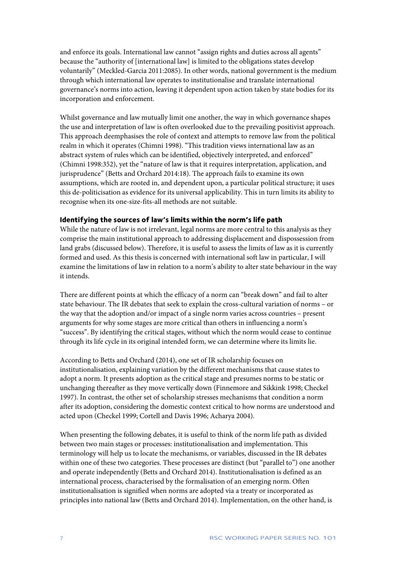and enforce its goals. International law cannot "assign rights and duties across all agents" because the "authority of [international law] is limited to the obligations states develop voluntarily" (Meckled-Garcia 2011:2085). In other words, national government is the medium through which international law operates to institutionalise and translate international governance's norms into action, leaving it dependent upon action taken by state bodies for its incorporation and enforcement.

Whilst governance and law mutually limit one another, the way in which governance shapes the use and interpretation of law is often overlooked due to the prevailing positivist approach. This approach deemphasises the role of context and attempts to remove law from the political realm in which it operates (Chimni 1998). "This tradition views international law as an abstract system of rules which can be identified, objectively interpreted, and enforced" (Chimni 1998:352), yet the "nature of law is that it requires interpretation, application, and jurisprudence" (Betts and Orchard 2014:18). The approach fails to examine its own assumptions, which are rooted in, and dependent upon, a particular political structure; it uses this de-politicisation as evidence for its universal applicability. This in turn limits its ability to recognise when its one-size-fits-all methods are not suitable.

### **Identifying the sources of law's limits within the norm's life path**

While the nature of law is not irrelevant, legal norms are more central to this analysis as they comprise the main institutional approach to addressing displacement and dispossession from land grabs (discussed below). Therefore, it is useful to assess the limits of law as it is currently formed and used. As this thesis is concerned with international soft law in particular, I will examine the limitations of law in relation to a norm's ability to alter state behaviour in the way it intends.

There are different points at which the efficacy of a norm can "break down" and fail to alter state behaviour. The IR debates that seek to explain the cross-cultural variation of norms – or the way that the adoption and/or impact of a single norm varies across countries – present arguments for why some stages are more critical than others in influencing a norm's "success". By identifying the critical stages, without which the norm would cease to continue through its life cycle in its original intended form, we can determine where its limits lie.

According to Betts and Orchard (2014), one set of IR scholarship focuses on institutionalisation, explaining variation by the different mechanisms that cause states to adopt a norm. It presents adoption as the critical stage and presumes norms to be static or unchanging thereafter as they move vertically down (Finnemore and Sikkink 1998; Checkel 1997). In contrast, the other set of scholarship stresses mechanisms that condition a norm after its adoption, considering the domestic context critical to how norms are understood and acted upon (Checkel 1999; Cortell and Davis 1996; Acharya 2004).

When presenting the following debates, it is useful to think of the norm life path as divided between two main stages or processes: institutionalisation and implementation. This terminology will help us to locate the mechanisms, or variables, discussed in the IR debates within one of these two categories. These processes are distinct (but "parallel to") one another and operate independently (Betts and Orchard 2014). Institutionalisation is defined as an international process, characterised by the formalisation of an emerging norm. Often institutionalisation is signified when norms are adopted via a treaty or incorporated as principles into national law (Betts and Orchard 2014). Implementation, on the other hand, is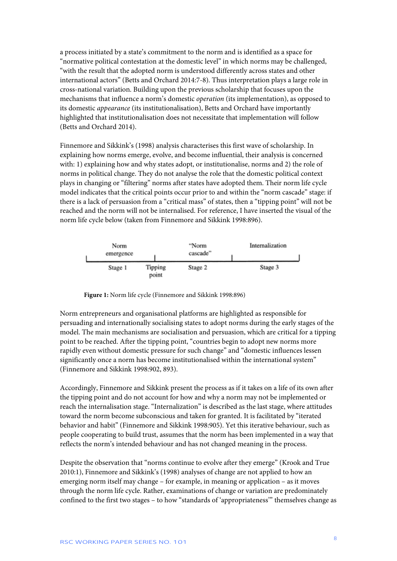a process initiated by a state's commitment to the norm and is identified as a space for "normative political contestation at the domestic level" in which norms may be challenged, "with the result that the adopted norm is understood differently across states and other international actors" (Betts and Orchard 2014:7-8). Thus interpretation plays a large role in cross-national variation. Building upon the previous scholarship that focuses upon the mechanisms that influence a norm's domestic *operation* (its implementation), as opposed to its domestic *appearance* (its institutionalisation), Betts and Orchard have importantly highlighted that institutionalisation does not necessitate that implementation will follow (Betts and Orchard 2014).

Finnemore and Sikkink's (1998) analysis characterises this first wave of scholarship. In explaining how norms emerge, evolve, and become influential, their analysis is concerned with: 1) explaining how and why states adopt, or institutionalise, norms and 2) the role of norms in political change. They do not analyse the role that the domestic political context plays in changing or "filtering" norms after states have adopted them. Their norm life cycle model indicates that the critical points occur prior to and within the "norm cascade" stage: if there is a lack of persuasion from a "critical mass" of states, then a "tipping point" will not be reached and the norm will not be internalised. For reference, I have inserted the visual of the norm life cycle below (taken from Finnemore and Sikkink 1998:896).



**Figure 1:** Norm life cycle (Finnemore and Sikkink 1998:896)

Norm entrepreneurs and organisational platforms are highlighted as responsible for persuading and internationally socialising states to adopt norms during the early stages of the model. The main mechanisms are socialisation and persuasion, which are critical for a tipping point to be reached. After the tipping point, "countries begin to adopt new norms more rapidly even without domestic pressure for such change" and "domestic influences lessen significantly once a norm has become institutionalised within the international system" (Finnemore and Sikkink 1998:902, 893).

Accordingly, Finnemore and Sikkink present the process as if it takes on a life of its own after the tipping point and do not account for how and why a norm may not be implemented or reach the internalisation stage. "Internalization" is described as the last stage, where attitudes toward the norm become subconscious and taken for granted. It is facilitated by "iterated behavior and habit" (Finnemore and Sikkink 1998:905). Yet this iterative behaviour, such as people cooperating to build trust, assumes that the norm has been implemented in a way that reflects the norm's intended behaviour and has not changed meaning in the process.

Despite the observation that "norms continue to evolve after they emerge" (Krook and True 2010:1), Finnemore and Sikkink's (1998) analyses of change are not applied to how an emerging norm itself may change – for example, in meaning or application – as it moves through the norm life cycle. Rather, examinations of change or variation are predominately confined to the first two stages – to how "standards of 'appropriateness'" themselves change as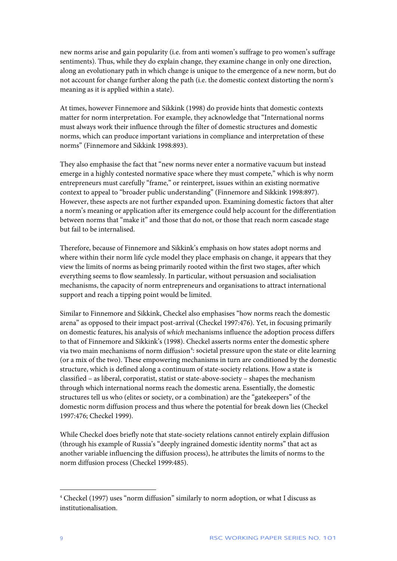new norms arise and gain popularity (i.e. from anti women's suffrage to pro women's suffrage sentiments). Thus, while they do explain change, they examine change in only one direction, along an evolutionary path in which change is unique to the emergence of a new norm, but do not account for change further along the path (i.e. the domestic context distorting the norm's meaning as it is applied within a state).

At times, however Finnemore and Sikkink (1998) do provide hints that domestic contexts matter for norm interpretation. For example, they acknowledge that "International norms must always work their influence through the filter of domestic structures and domestic norms, which can produce important variations in compliance and interpretation of these norms" (Finnemore and Sikkink 1998:893).

They also emphasise the fact that "new norms never enter a normative vacuum but instead emerge in a highly contested normative space where they must compete," which is why norm entrepreneurs must carefully "frame," or reinterpret, issues within an existing normative context to appeal to "broader public understanding" (Finnemore and Sikkink 1998:897). However, these aspects are not further expanded upon. Examining domestic factors that alter a norm's meaning or application after its emergence could help account for the differentiation between norms that "make it" and those that do not, or those that reach norm cascade stage but fail to be internalised.

Therefore, because of Finnemore and Sikkink's emphasis on how states adopt norms and where within their norm life cycle model they place emphasis on change, it appears that they view the limits of norms as being primarily rooted within the first two stages, after which everything seems to flow seamlessly. In particular, without persuasion and socialisation mechanisms, the capacity of norm entrepreneurs and organisations to attract international support and reach a tipping point would be limited.

Similar to Finnemore and Sikkink, Checkel also emphasises "how norms reach the domestic arena" as opposed to their impact post-arrival (Checkel 1997:476). Yet, in focusing primarily on domestic features, his analysis of *which* mechanisms influence the adoption process differs to that of Finnemore and Sikkink's (1998). Checkel asserts norms enter the domestic sphere via two main mechanisms of norm diffusion<sup>[4](#page-9-0)</sup>: societal pressure upon the state or elite learning (or a mix of the two). These empowering mechanisms in turn are conditioned by the domestic structure, which is defined along a continuum of state-society relations. How a state is classified – as liberal, corporatist, statist or state-above-society – shapes the mechanism through which international norms reach the domestic arena. Essentially, the domestic structures tell us who (elites or society, or a combination) are the "gatekeepers" of the domestic norm diffusion process and thus where the potential for break down lies (Checkel 1997:476; Checkel 1999).

While Checkel does briefly note that state-society relations cannot entirely explain diffusion (through his example of Russia's "deeply ingrained domestic identity norms" that act as another variable influencing the diffusion process), he attributes the limits of norms to the norm diffusion process (Checkel 1999:485).

 $\overline{a}$ 

<span id="page-9-0"></span><sup>4</sup> Checkel (1997) uses "norm diffusion" similarly to norm adoption, or what I discuss as institutionalisation.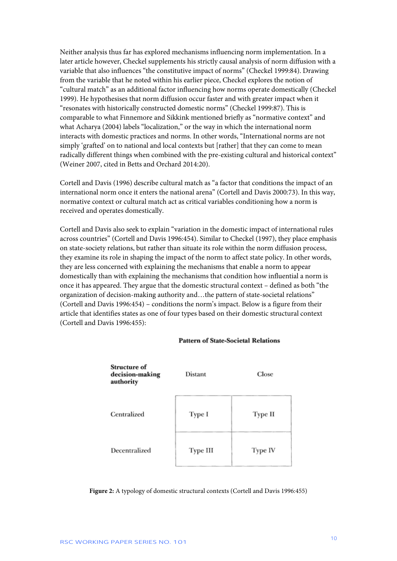Neither analysis thus far has explored mechanisms influencing norm implementation. In a later article however, Checkel supplements his strictly causal analysis of norm diffusion with a variable that also influences "the constitutive impact of norms" (Checkel 1999:84). Drawing from the variable that he noted within his earlier piece, Checkel explores the notion of "cultural match" as an additional factor influencing how norms operate domestically (Checkel 1999). He hypothesises that norm diffusion occur faster and with greater impact when it "resonates with historically constructed domestic norms" (Checkel 1999:87). This is comparable to what Finnemore and Sikkink mentioned briefly as "normative context" and what Acharya (2004) labels "localization," or the way in which the international norm interacts with domestic practices and norms. In other words, "International norms are not simply 'grafted' on to national and local contexts but [rather] that they can come to mean radically different things when combined with the pre-existing cultural and historical context" (Weiner 2007, cited in Betts and Orchard 2014:20).

Cortell and Davis (1996) describe cultural match as "a factor that conditions the impact of an international norm once it enters the national arena" (Cortell and Davis 2000:73). In this way, normative context or cultural match act as critical variables conditioning how a norm is received and operates domestically.

Cortell and Davis also seek to explain "variation in the domestic impact of international rules across countries" (Cortell and Davis 1996:454). Similar to Checkel (1997), they place emphasis on state-society relations, but rather than situate its role within the norm diffusion process, they examine its role in shaping the impact of the norm to affect state policy. In other words, they are less concerned with explaining the mechanisms that enable a norm to appear domestically than with explaining the mechanisms that condition how influential a norm is once it has appeared. They argue that the domestic structural context – defined as both "the organization of decision-making authority and…the pattern of state-societal relations" (Cortell and Davis 1996:454) – conditions the norm's impact. Below is a figure from their article that identifies states as one of four types based on their domestic structural context (Cortell and Davis 1996:455):

| Structure of<br>decision-making<br>authority | Distant  | Close   |
|----------------------------------------------|----------|---------|
| Centralized                                  | Type I   | Type II |
| Decentralized                                | Type III | Type IV |

#### **Pattern of State-Societal Relations**

**Figure 2:** A typology of domestic structural contexts (Cortell and Davis 1996:455)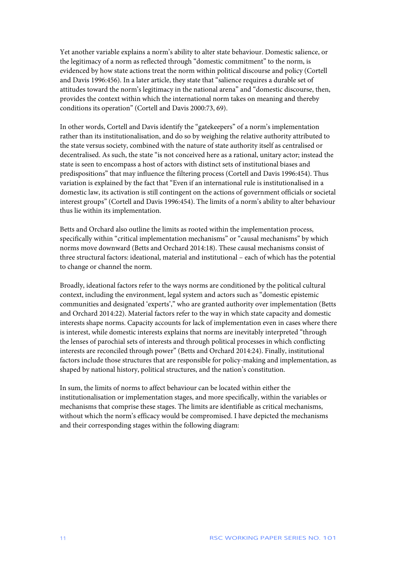Yet another variable explains a norm's ability to alter state behaviour. Domestic salience, or the legitimacy of a norm as reflected through "domestic commitment" to the norm, is evidenced by how state actions treat the norm within political discourse and policy (Cortell and Davis 1996:456). In a later article, they state that "salience requires a durable set of attitudes toward the norm's legitimacy in the national arena" and "domestic discourse, then, provides the context within which the international norm takes on meaning and thereby conditions its operation" (Cortell and Davis 2000:73, 69).

In other words, Cortell and Davis identify the "gatekeepers" of a norm's implementation rather than its institutionalisation, and do so by weighing the relative authority attributed to the state versus society, combined with the nature of state authority itself as centralised or decentralised. As such, the state "is not conceived here as a rational, unitary actor; instead the state is seen to encompass a host of actors with distinct sets of institutional biases and predispositions" that may influence the filtering process (Cortell and Davis 1996:454). Thus variation is explained by the fact that "Even if an international rule is institutionalised in a domestic law, its activation is still contingent on the actions of government officials or societal interest groups" (Cortell and Davis 1996:454). The limits of a norm's ability to alter behaviour thus lie within its implementation.

Betts and Orchard also outline the limits as rooted within the implementation process, specifically within "critical implementation mechanisms" or "causal mechanisms" by which norms move downward (Betts and Orchard 2014:18). These causal mechanisms consist of three structural factors: ideational, material and institutional – each of which has the potential to change or channel the norm.

Broadly, ideational factors refer to the ways norms are conditioned by the political cultural context, including the environment, legal system and actors such as "domestic epistemic communities and designated 'experts'," who are granted authority over implementation (Betts and Orchard 2014:22). Material factors refer to the way in which state capacity and domestic interests shape norms. Capacity accounts for lack of implementation even in cases where there is interest, while domestic interests explains that norms are inevitably interpreted "through the lenses of parochial sets of interests and through political processes in which conflicting interests are reconciled through power" (Betts and Orchard 2014:24). Finally, institutional factors include those structures that are responsible for policy-making and implementation, as shaped by national history, political structures, and the nation's constitution.

In sum, the limits of norms to affect behaviour can be located within either the institutionalisation or implementation stages, and more specifically, within the variables or mechanisms that comprise these stages. The limits are identifiable as critical mechanisms, without which the norm's efficacy would be compromised. I have depicted the mechanisms and their corresponding stages within the following diagram: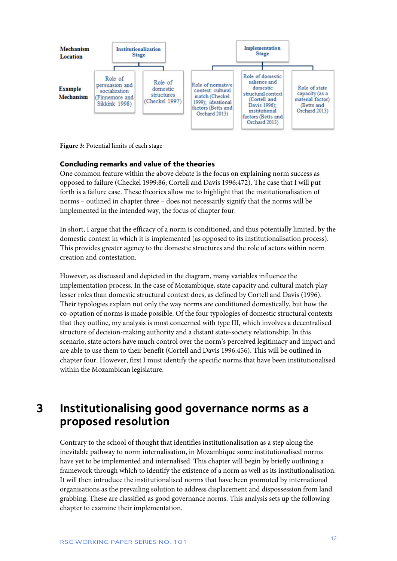

**Figure 3:** Potential limits of each stage

### **Concluding remarks and value of the theories**

One common feature within the above debate is the focus on explaining norm success as opposed to failure (Checkel 1999:86; Cortell and Davis 1996:472). The case that I will put forth is a failure case. These theories allow me to highlight that the institutionalisation of norms – outlined in chapter three – does not necessarily signify that the norms will be implemented in the intended way, the focus of chapter four.

In short, I argue that the efficacy of a norm is conditioned, and thus potentially limited, by the domestic context in which it is implemented (as opposed to its institutionalisation process). This provides greater agency to the domestic structures and the role of actors within norm creation and contestation.

However, as discussed and depicted in the diagram, many variables influence the implementation process. In the case of Mozambique, state capacity and cultural match play lesser roles than domestic structural context does, as defined by Cortell and Davis (1996). Their typologies explain not only the way norms are conditioned domestically, but how the co-optation of norms is made possible. Of the four typologies of domestic structural contexts that they outline, my analysis is most concerned with type III, which involves a decentralised structure of decision-making authority and a distant state-society relationship. In this scenario, state actors have much control over the norm's perceived legitimacy and impact and are able to use them to their benefit (Cortell and Davis 1996:456). This will be outlined in chapter four. However, first I must identify the specific norms that have been institutionalised within the Mozambican legislature.

# <span id="page-12-0"></span>**3 Institutionalising good governance norms as a proposed resolution**

Contrary to the school of thought that identifies institutionalisation as a step along the inevitable pathway to norm internalisation, in Mozambique some institutionalised norms have yet to be implemented and internalised. This chapter will begin by briefly outlining a framework through which to identify the existence of a norm as well as its institutionalisation. It will then introduce the institutionalised norms that have been promoted by international organisations as the prevailing solution to address displacement and dispossession from land grabbing. These are classified as good governance norms. This analysis sets up the following chapter to examine their implementation.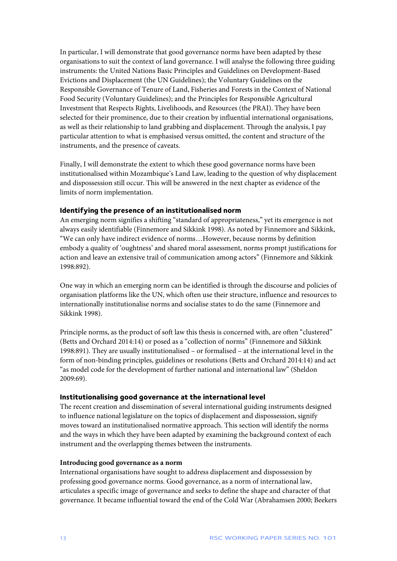In particular, I will demonstrate that good governance norms have been adapted by these organisations to suit the context of land governance. I will analyse the following three guiding instruments: the United Nations Basic Principles and Guidelines on Development-Based Evictions and Displacement (the UN Guidelines); the Voluntary Guidelines on the Responsible Governance of Tenure of Land, Fisheries and Forests in the Context of National Food Security (Voluntary Guidelines); and the Principles for Responsible Agricultural Investment that Respects Rights, Livelihoods, and Resources (the PRAI). They have been selected for their prominence, due to their creation by influential international organisations, as well as their relationship to land grabbing and displacement. Through the analysis, I pay particular attention to what is emphasised versus omitted, the content and structure of the instruments, and the presence of caveats.

Finally, I will demonstrate the extent to which these good governance norms have been institutionalised within Mozambique's Land Law, leading to the question of why displacement and dispossession still occur. This will be answered in the next chapter as evidence of the limits of norm implementation.

### **Identifying the presence of an institutionalised norm**

An emerging norm signifies a shifting "standard of appropriateness," yet its emergence is not always easily identifiable (Finnemore and Sikkink 1998). As noted by Finnemore and Sikkink, "We can only have indirect evidence of norms…However, because norms by definition embody a quality of 'oughtness' and shared moral assessment, norms prompt justifications for action and leave an extensive trail of communication among actors" (Finnemore and Sikkink 1998:892).

One way in which an emerging norm can be identified is through the discourse and policies of organisation platforms like the UN, which often use their structure, influence and resources to internationally institutionalise norms and socialise states to do the same (Finnemore and Sikkink 1998).

Principle norms, as the product of soft law this thesis is concerned with, are often "clustered" (Betts and Orchard 2014:14) or posed as a "collection of norms" (Finnemore and Sikkink 1998:891). They are usually institutionalised – or formalised – at the international level in the form of non-binding principles, guidelines or resolutions (Betts and Orchard 2014:14) and act "as model code for the development of further national and international law" (Sheldon 2009:69).

#### **Institutionalising good governance at the international level**

The recent creation and dissemination of several international guiding instruments designed to influence national legislature on the topics of displacement and dispossession, signify moves toward an institutionalised normative approach. This section will identify the norms and the ways in which they have been adapted by examining the background context of each instrument and the overlapping themes between the instruments.

### **Introducing good governance as a norm**

International organisations have sought to address displacement and dispossession by professing good governance norms. Good governance, as a norm of international law, articulates a specific image of governance and seeks to define the shape and character of that governance. It became influential toward the end of the Cold War (Abrahamsen 2000; Beekers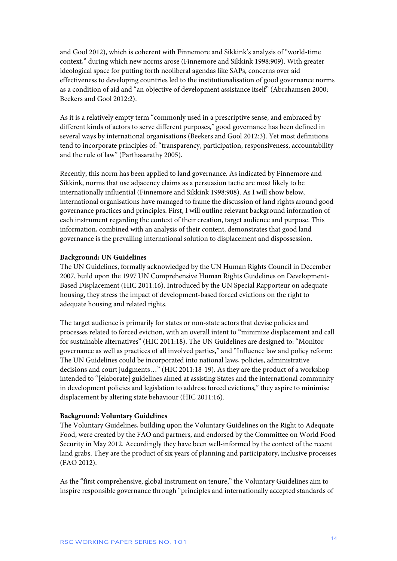and Gool 2012), which is coherent with Finnemore and Sikkink's analysis of "world-time context," during which new norms arose (Finnemore and Sikkink 1998:909). With greater ideological space for putting forth neoliberal agendas like SAPs, concerns over aid effectiveness to developing countries led to the institutionalisation of good governance norms as a condition of aid and "an objective of development assistance itself" (Abrahamsen 2000; Beekers and Gool 2012:2).

As it is a relatively empty term "commonly used in a prescriptive sense, and embraced by different kinds of actors to serve different purposes," good governance has been defined in several ways by international organisations (Beekers and Gool 2012:3). Yet most definitions tend to incorporate principles of: "transparency, participation, responsiveness, accountability and the rule of law" (Parthasarathy 2005).

Recently, this norm has been applied to land governance. As indicated by Finnemore and Sikkink, norms that use adjacency claims as a persuasion tactic are most likely to be internationally influential (Finnemore and Sikkink 1998:908). As I will show below, international organisations have managed to frame the discussion of land rights around good governance practices and principles. First, I will outline relevant background information of each instrument regarding the context of their creation, target audience and purpose. This information, combined with an analysis of their content, demonstrates that good land governance is the prevailing international solution to displacement and dispossession.

#### **Background: UN Guidelines**

The UN Guidelines, formally acknowledged by the UN Human Rights Council in December 2007, build upon the 1997 UN Comprehensive Human Rights Guidelines on Development-Based Displacement (HIC 2011:16). Introduced by the UN Special Rapporteur on adequate housing, they stress the impact of development-based forced evictions on the right to adequate housing and related rights.

The target audience is primarily for states or non-state actors that devise policies and processes related to forced eviction, with an overall intent to "minimize displacement and call for sustainable alternatives" (HIC 2011:18). The UN Guidelines are designed to: "Monitor governance as well as practices of all involved parties," and "Influence law and policy reform: The UN Guidelines could be incorporated into national laws, policies, administrative decisions and court judgments…" (HIC 2011:18-19). As they are the product of a workshop intended to "[elaborate] guidelines aimed at assisting States and the international community in development policies and legislation to address forced evictions," they aspire to minimise displacement by altering state behaviour (HIC 2011:16).

#### **Background: Voluntary Guidelines**

The Voluntary Guidelines, building upon the Voluntary Guidelines on the Right to Adequate Food, were created by the FAO and partners, and endorsed by the Committee on World Food Security in May 2012. Accordingly they have been well-informed by the context of the recent land grabs. They are the product of six years of planning and participatory, inclusive processes (FAO 2012).

As the "first comprehensive, global instrument on tenure," the Voluntary Guidelines aim to inspire responsible governance through "principles and internationally accepted standards of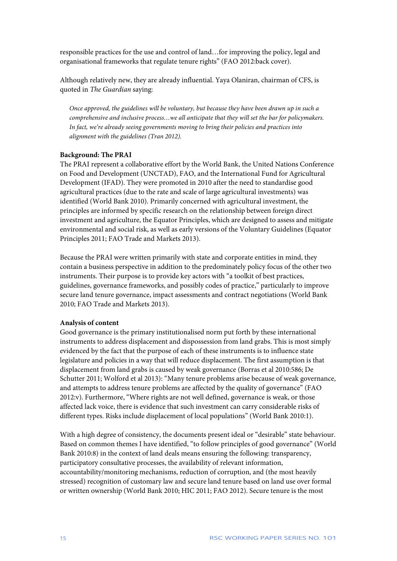responsible practices for the use and control of land…for improving the policy, legal and organisational frameworks that regulate tenure rights" (FAO 2012:back cover).

Although relatively new, they are already influential. Yaya Olaniran, chairman of CFS, is quoted in *The Guardian* saying:

*Once approved, the guidelines will be voluntary, but because they have been drawn up in such a comprehensive and inclusive process…we all anticipate that they will set the bar for policymakers. In fact, we're already seeing governments moving to bring their policies and practices into alignment with the guidelines (Tran 2012).*

#### **Background: The PRAI**

The PRAI represent a collaborative effort by the World Bank, the United Nations Conference on Food and Development (UNCTAD), FAO, and the International Fund for Agricultural Development (IFAD). They were promoted in 2010 after the need to standardise good agricultural practices (due to the rate and scale of large agricultural investments) was identified (World Bank 2010). Primarily concerned with agricultural investment, the principles are informed by specific research on the relationship between foreign direct investment and agriculture, the Equator Principles, which are designed to assess and mitigate environmental and social risk, as well as early versions of the Voluntary Guidelines (Equator Principles 2011; FAO Trade and Markets 2013).

Because the PRAI were written primarily with state and corporate entities in mind, they contain a business perspective in addition to the predominately policy focus of the other two instruments. Their purpose is to provide key actors with "a toolkit of best practices, guidelines, governance frameworks, and possibly codes of practice," particularly to improve secure land tenure governance, impact assessments and contract negotiations (World Bank 2010; FAO Trade and Markets 2013).

#### **Analysis of content**

Good governance is the primary institutionalised norm put forth by these international instruments to address displacement and dispossession from land grabs. This is most simply evidenced by the fact that the purpose of each of these instruments is to influence state legislature and policies in a way that will reduce displacement. The first assumption is that displacement from land grabs is caused by weak governance (Borras et al 2010:586; De Schutter 2011; Wolford et al 2013): "Many tenure problems arise because of weak governance, and attempts to address tenure problems are affected by the quality of governance" (FAO 2012:v). Furthermore, "Where rights are not well defined, governance is weak, or those affected lack voice, there is evidence that such investment can carry considerable risks of different types. Risks include displacement of local populations" (World Bank 2010:1).

With a high degree of consistency, the documents present ideal or "desirable" state behaviour. Based on common themes I have identified, "to follow principles of good governance" (World Bank 2010:8) in the context of land deals means ensuring the following: transparency, participatory consultative processes, the availability of relevant information, accountability/monitoring mechanisms, reduction of corruption, and (the most heavily stressed) recognition of customary law and secure land tenure based on land use over formal or written ownership (World Bank 2010; HIC 2011; FAO 2012). Secure tenure is the most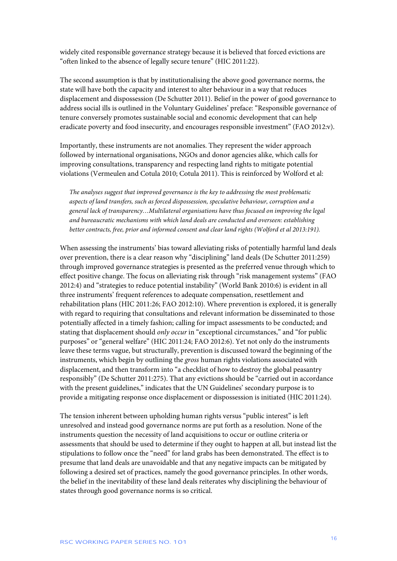widely cited responsible governance strategy because it is believed that forced evictions are "often linked to the absence of legally secure tenure" (HIC 2011:22).

The second assumption is that by institutionalising the above good governance norms, the state will have both the capacity and interest to alter behaviour in a way that reduces displacement and dispossession (De Schutter 2011). Belief in the power of good governance to address social ills is outlined in the Voluntary Guidelines' preface: "Responsible governance of tenure conversely promotes sustainable social and economic development that can help eradicate poverty and food insecurity, and encourages responsible investment" (FAO 2012:v).

Importantly, these instruments are not anomalies. They represent the wider approach followed by international organisations, NGOs and donor agencies alike, which calls for improving consultations, transparency and respecting land rights to mitigate potential violations (Vermeulen and Cotula 2010; Cotula 2011). This is reinforced by Wolford et al:

*The analyses suggest that improved governance is the key to addressing the most problematic aspects of land transfers, such as forced dispossession, speculative behaviour, corruption and a general lack of transparency…Multilateral organisations have thus focused on improving the legal and bureaucratic mechanisms with which land deals are conducted and overseen: establishing better contracts, free, prior and informed consent and clear land rights (Wolford et al 2013:191).*

When assessing the instruments' bias toward alleviating risks of potentially harmful land deals over prevention, there is a clear reason why "disciplining" land deals (De Schutter 2011:259) through improved governance strategies is presented as the preferred venue through which to effect positive change. The focus on alleviating risk through "risk management systems" (FAO 2012:4) and "strategies to reduce potential instability" (World Bank 2010:6) is evident in all three instruments' frequent references to adequate compensation, resettlement and rehabilitation plans (HIC 2011:26; FAO 2012:10). Where prevention is explored, it is generally with regard to requiring that consultations and relevant information be disseminated to those potentially affected in a timely fashion; calling for impact assessments to be conducted; and stating that displacement should *only occur* in "exceptional circumstances," and "for public purposes" or "general welfare" (HIC 2011:24; FAO 2012:6). Yet not only do the instruments leave these terms vague, but structurally, prevention is discussed toward the beginning of the instruments, which begin by outlining the *gross* human rights violations associated with displacement, and then transform into "a checklist of how to destroy the global peasantry responsibly" (De Schutter 2011:275). That any evictions should be "carried out in accordance with the present guidelines," indicates that the UN Guidelines' secondary purpose is to provide a mitigating response once displacement or dispossession is initiated (HIC 2011:24).

The tension inherent between upholding human rights versus "public interest" is left unresolved and instead good governance norms are put forth as a resolution. None of the instruments question the necessity of land acquisitions to occur or outline criteria or assessments that should be used to determine if they ought to happen at all, but instead list the stipulations to follow once the "need" for land grabs has been demonstrated. The effect is to presume that land deals are unavoidable and that any negative impacts can be mitigated by following a desired set of practices, namely the good governance principles. In other words, the belief in the inevitability of these land deals reiterates why disciplining the behaviour of states through good governance norms is so critical.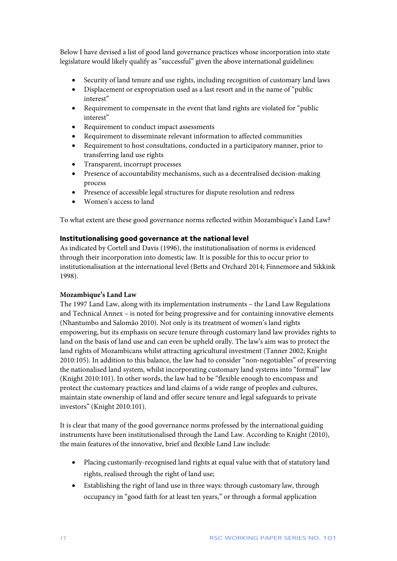Below I have devised a list of good land governance practices whose incorporation into state legislature would likely qualify as "successful" given the above international guidelines:

- Security of land tenure and use rights, including recognition of customary land laws
- Displacement or expropriation used as a last resort and in the name of "public interest"
- Requirement to compensate in the event that land rights are violated for "public interest"
- Requirement to conduct impact assessments
- Requirement to disseminate relevant information to affected communities
- Requirement to host consultations, conducted in a participatory manner, prior to transferring land use rights
- Transparent, incorrupt processes
- Presence of accountability mechanisms, such as a decentralised decision-making process
- Presence of accessible legal structures for dispute resolution and redress
- Women's access to land

To what extent are these good governance norms reflected within Mozambique's Land Law?

# **Institutionalising good governance at the national level**

As indicated by Cortell and Davis (1996), the institutionalisation of norms is evidenced through their incorporation into domestic law. It is possible for this to occur prior to institutionalisation at the international level (Betts and Orchard 2014; Finnemore and Sikkink 1998).

# **Mozambique's Land Law**

The 1997 Land Law, along with its implementation instruments – the Land Law Regulations and Technical Annex – is noted for being progressive and for containing innovative elements (Nhantumbo and Salomão 2010). Not only is its treatment of women's land rights empowering, but its emphasis on secure tenure through customary land law provides rights to land on the basis of land use and can even be upheld orally. The law's aim was to protect the land rights of Mozambicans whilst attracting agricultural investment (Tanner 2002; Knight 2010:105). In addition to this balance, the law had to consider "non-negotiables" of preserving the nationalised land system, whilst incorporating customary land systems into "formal" law (Knight 2010:101). In other words, the law had to be "flexible enough to encompass and protect the customary practices and land claims of a wide range of peoples and cultures, maintain state ownership of land and offer secure tenure and legal safeguards to private investors" (Knight 2010:101).

It is clear that many of the good governance norms professed by the international guiding instruments have been institutionalised through the Land Law. According to Knight (2010), the main features of the innovative, brief and flexible Land Law include:

- Placing customarily-recognised land rights at equal value with that of statutory land rights, realised through the right of land use;
- Establishing the right of land use in three ways: through customary law, through occupancy in "good faith for at least ten years," or through a formal application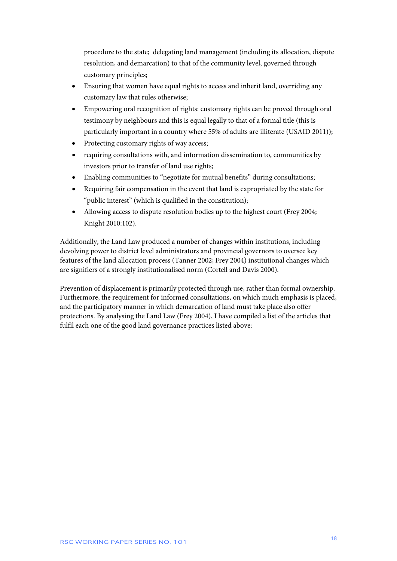procedure to the state; delegating land management (including its allocation, dispute resolution, and demarcation) to that of the community level, governed through customary principles;

- Ensuring that women have equal rights to access and inherit land, overriding any customary law that rules otherwise;
- Empowering oral recognition of rights: customary rights can be proved through oral testimony by neighbours and this is equal legally to that of a formal title (this is particularly important in a country where 55% of adults are illiterate (USAID 2011));
- Protecting customary rights of way access;
- requiring consultations with, and information dissemination to, communities by investors prior to transfer of land use rights;
- Enabling communities to "negotiate for mutual benefits" during consultations;
- Requiring fair compensation in the event that land is expropriated by the state for "public interest" (which is qualified in the constitution);
- Allowing access to dispute resolution bodies up to the highest court (Frey 2004; Knight 2010:102).

Additionally, the Land Law produced a number of changes within institutions, including devolving power to district level administrators and provincial governors to oversee key features of the land allocation process (Tanner 2002; Frey 2004) institutional changes which are signifiers of a strongly institutionalised norm (Cortell and Davis 2000).

Prevention of displacement is primarily protected through use, rather than formal ownership. Furthermore, the requirement for informed consultations, on which much emphasis is placed, and the participatory manner in which demarcation of land must take place also offer protections. By analysing the Land Law (Frey 2004), I have compiled a list of the articles that fulfil each one of the good land governance practices listed above: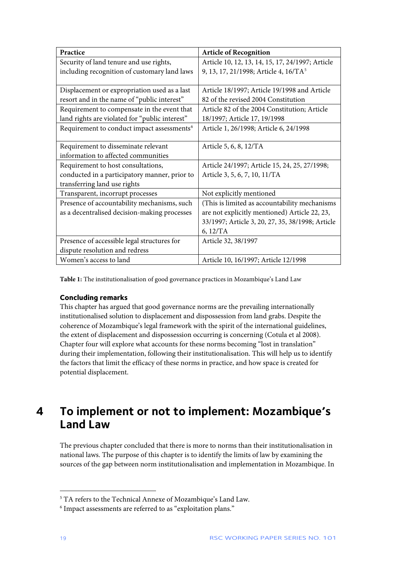| Practice                                               | <b>Article of Recognition</b>                     |
|--------------------------------------------------------|---------------------------------------------------|
| Security of land tenure and use rights,                | Article 10, 12, 13, 14, 15, 17, 24/1997; Article  |
| including recognition of customary land laws           | 9, 13, 17, 21/1998; Article 4, 16/TA <sup>5</sup> |
|                                                        |                                                   |
| Displacement or expropriation used as a last           | Article 18/1997; Article 19/1998 and Article      |
| resort and in the name of "public interest"            | 82 of the revised 2004 Constitution               |
| Requirement to compensate in the event that            | Article 82 of the 2004 Constitution; Article      |
| land rights are violated for "public interest"         | 18/1997; Article 17, 19/1998                      |
| Requirement to conduct impact assessments <sup>6</sup> | Article 1, 26/1998; Article 6, 24/1998            |
|                                                        |                                                   |
| Requirement to disseminate relevant                    | Article 5, 6, 8, 12/TA                            |
| information to affected communities                    |                                                   |
| Requirement to host consultations,                     | Article 24/1997; Article 15, 24, 25, 27/1998;     |
| conducted in a participatory manner, prior to          | Article 3, 5, 6, 7, 10, 11/TA                     |
| transferring land use rights                           |                                                   |
| Transparent, incorrupt processes                       | Not explicitly mentioned                          |
| Presence of accountability mechanisms, such            | (This is limited as accountability mechanisms     |
| as a decentralised decision-making processes           | are not explicitly mentioned) Article 22, 23,     |
|                                                        | 33/1997; Article 3, 20, 27, 35, 38/1998; Article  |
|                                                        | 6, 12/TA                                          |
| Presence of accessible legal structures for            | Article 32, 38/1997                               |
| dispute resolution and redress                         |                                                   |
| Women's access to land                                 | Article 10, 16/1997; Article 12/1998              |

**Table 1:** The institutionalisation of good governance practices in Mozambique's Land Law

# **Concluding remarks**

This chapter has argued that good governance norms are the prevailing internationally institutionalised solution to displacement and dispossession from land grabs. Despite the coherence of Mozambique's legal framework with the spirit of the international guidelines, the extent of displacement and dispossession occurring is concerning (Cotula et al 2008). Chapter four will explore what accounts for these norms becoming "lost in translation" during their implementation, following their institutionalisation. This will help us to identify the factors that limit the efficacy of these norms in practice, and how space is created for potential displacement.

# <span id="page-19-0"></span>**4 To implement or not to implement: Mozambique's Land Law**

The previous chapter concluded that there is more to norms than their institutionalisation in national laws. The purpose of this chapter is to identify the limits of law by examining the sources of the gap between norm institutionalisation and implementation in Mozambique. In

1

<span id="page-19-1"></span><sup>5</sup> TA refers to the Technical Annexe of Mozambique's Land Law.

<span id="page-19-2"></span><sup>6</sup> Impact assessments are referred to as "exploitation plans."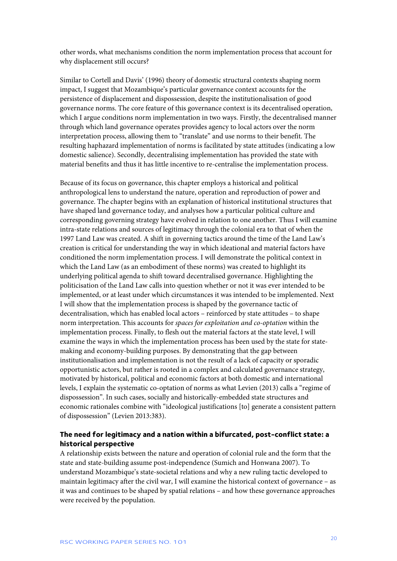other words, what mechanisms condition the norm implementation process that account for why displacement still occurs?

Similar to Cortell and Davis' (1996) theory of domestic structural contexts shaping norm impact, I suggest that Mozambique's particular governance context accounts for the persistence of displacement and dispossession, despite the institutionalisation of good governance norms. The core feature of this governance context is its decentralised operation, which I argue conditions norm implementation in two ways. Firstly, the decentralised manner through which land governance operates provides agency to local actors over the norm interpretation process, allowing them to "translate" and use norms to their benefit. The resulting haphazard implementation of norms is facilitated by state attitudes (indicating a low domestic salience). Secondly, decentralising implementation has provided the state with material benefits and thus it has little incentive to re-centralise the implementation process.

Because of its focus on governance, this chapter employs a historical and political anthropological lens to understand the nature, operation and reproduction of power and governance. The chapter begins with an explanation of historical institutional structures that have shaped land governance today, and analyses how a particular political culture and corresponding governing strategy have evolved in relation to one another. Thus I will examine intra-state relations and sources of legitimacy through the colonial era to that of when the 1997 Land Law was created. A shift in governing tactics around the time of the Land Law's creation is critical for understanding the way in which ideational and material factors have conditioned the norm implementation process. I will demonstrate the political context in which the Land Law (as an embodiment of these norms) was created to highlight its underlying political agenda to shift toward decentralised governance. Highlighting the politicisation of the Land Law calls into question whether or not it was ever intended to be implemented, or at least under which circumstances it was intended to be implemented. Next I will show that the implementation process is shaped by the governance tactic of decentralisation, which has enabled local actors – reinforced by state attitudes – to shape norm interpretation. This accounts for *spaces for exploitation and co-optation* within the implementation process. Finally, to flesh out the material factors at the state level, I will examine the ways in which the implementation process has been used by the state for statemaking and economy-building purposes. By demonstrating that the gap between institutionalisation and implementation is not the result of a lack of capacity or sporadic opportunistic actors, but rather is rooted in a complex and calculated governance strategy, motivated by historical, political and economic factors at both domestic and international levels, I explain the systematic co-optation of norms as what Levien (2013) calls a "regime of dispossession". In such cases, socially and historically-embedded state structures and economic rationales combine with "ideological justifications [to] generate a consistent pattern of dispossession" (Levien 2013:383).

# **The need for legitimacy and a nation within a bifurcated, post-conflict state: a historical perspective**

A relationship exists between the nature and operation of colonial rule and the form that the state and state-building assume post-independence (Sumich and Honwana 2007). To understand Mozambique's state-societal relations and why a new ruling tactic developed to maintain legitimacy after the civil war, I will examine the historical context of governance – as it was and continues to be shaped by spatial relations – and how these governance approaches were received by the population.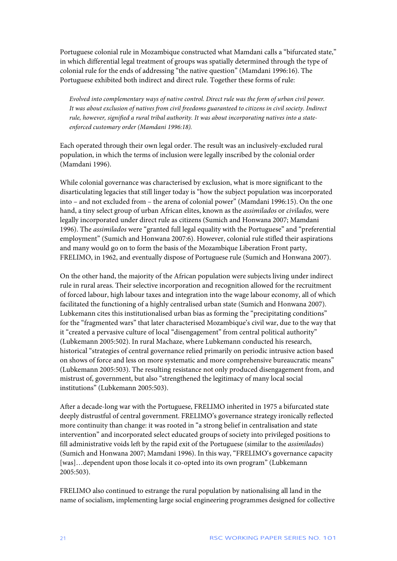Portuguese colonial rule in Mozambique constructed what Mamdani calls a "bifurcated state," in which differential legal treatment of groups was spatially determined through the type of colonial rule for the ends of addressing "the native question" (Mamdani 1996:16). The Portuguese exhibited both indirect and direct rule. Together these forms of rule:

*Evolved into complementary ways of native control. Direct rule was the form of urban civil power. It was about exclusion of natives from civil freedoms guaranteed to citizens in civil society. Indirect rule, however, signified a rural tribal authority. It was about incorporating natives into a stateenforced customary order (Mamdani 1996:18).*

Each operated through their own legal order. The result was an inclusively-excluded rural population, in which the terms of inclusion were legally inscribed by the colonial order (Mamdani 1996).

While colonial governance was characterised by exclusion, what is more significant to the disarticulating legacies that still linger today is "how the subject population was incorporated into – and not excluded from – the arena of colonial power" (Mamdani 1996:15). On the one hand, a tiny select group of urban African elites, known as the *assimilados* or *civilados,* were legally incorporated under direct rule as citizens (Sumich and Honwana 2007; Mamdani 1996). The *assimilados* were "granted full legal equality with the Portuguese" and "preferential employment" (Sumich and Honwana 2007:6). However, colonial rule stifled their aspirations and many would go on to form the basis of the Mozambique Liberation Front party, FRELIMO, in 1962, and eventually dispose of Portuguese rule (Sumich and Honwana 2007).

On the other hand, the majority of the African population were subjects living under indirect rule in rural areas. Their selective incorporation and recognition allowed for the recruitment of forced labour, high labour taxes and integration into the wage labour economy, all of which facilitated the functioning of a highly centralised urban state (Sumich and Honwana 2007). Lubkemann cites this institutionalised urban bias as forming the "precipitating conditions" for the "fragmented wars" that later characterised Mozambique's civil war, due to the way that it "created a pervasive culture of local "disengagement" from central political authority" (Lubkemann 2005:502). In rural Machaze, where Lubkemann conducted his research, historical "strategies of central governance relied primarily on periodic intrusive action based on shows of force and less on more systematic and more comprehensive bureaucratic means" (Lubkemann 2005:503). The resulting resistance not only produced disengagement from, and mistrust of, government, but also "strengthened the legitimacy of many local social institutions" (Lubkemann 2005:503).

After a decade-long war with the Portuguese, FRELIMO inherited in 1975 a bifurcated state deeply distrustful of central government. FRELIMO's governance strategy ironically reflected more continuity than change: it was rooted in "a strong belief in centralisation and state intervention" and incorporated select educated groups of society into privileged positions to fill administrative voids left by the rapid exit of the Portuguese (similar to the *assimilados*) (Sumich and Honwana 2007; Mamdani 1996). In this way, "FRELIMO's governance capacity [was]...dependent upon those locals it co-opted into its own program" (Lubkemann 2005:503).

FRELIMO also continued to estrange the rural population by nationalising all land in the name of socialism, implementing large social engineering programmes designed for collective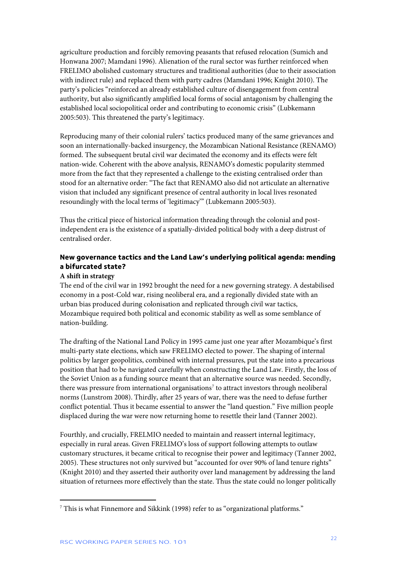agriculture production and forcibly removing peasants that refused relocation (Sumich and Honwana 2007; Mamdani 1996). Alienation of the rural sector was further reinforced when FRELIMO abolished customary structures and traditional authorities (due to their association with indirect rule) and replaced them with party cadres (Mamdani 1996; Knight 2010). The party's policies "reinforced an already established culture of disengagement from central authority, but also significantly amplified local forms of social antagonism by challenging the established local sociopolitical order and contributing to economic crisis" (Lubkemann 2005:503). This threatened the party's legitimacy.

Reproducing many of their colonial rulers' tactics produced many of the same grievances and soon an internationally-backed insurgency, the Mozambican National Resistance (RENAMO) formed. The subsequent brutal civil war decimated the economy and its effects were felt nation-wide. Coherent with the above analysis, RENAMO's domestic popularity stemmed more from the fact that they represented a challenge to the existing centralised order than stood for an alternative order: "The fact that RENAMO also did not articulate an alternative vision that included any significant presence of central authority in local lives resonated resoundingly with the local terms of 'legitimacy'" (Lubkemann 2005:503).

Thus the critical piece of historical information threading through the colonial and postindependent era is the existence of a spatially-divided political body with a deep distrust of centralised order.

# **New governance tactics and the Land Law's underlying political agenda: mending a bifurcated state?**

# **A shift in strategy**

The end of the civil war in 1992 brought the need for a new governing strategy. A destabilised economy in a post-Cold war, rising neoliberal era, and a regionally divided state with an urban bias produced during colonisation and replicated through civil war tactics, Mozambique required both political and economic stability as well as some semblance of nation-building.

The drafting of the National Land Policy in 1995 came just one year after Mozambique's first multi-party state elections, which saw FRELIMO elected to power. The shaping of internal politics by larger geopolitics, combined with internal pressures, put the state into a precarious position that had to be navigated carefully when constructing the Land Law. Firstly, the loss of the Soviet Union as a funding source meant that an alternative source was needed. Secondly, there was pressure from international organisations<sup>[7](#page-22-0)</sup> to attract investors through neoliberal norms (Lunstrom 2008). Thirdly, after 25 years of war, there was the need to defuse further conflict potential. Thus it became essential to answer the "land question." Five million people displaced during the war were now returning home to resettle their land (Tanner 2002).

Fourthly, and crucially, FRELMIO needed to maintain and reassert internal legitimacy, especially in rural areas. Given FRELIMO's loss of support following attempts to outlaw customary structures, it became critical to recognise their power and legitimacy (Tanner 2002, 2005). These structures not only survived but "accounted for over 90% of land tenure rights" (Knight 2010) and they asserted their authority over land management by addressing the land situation of returnees more effectively than the state. Thus the state could no longer politically

1

<span id="page-22-0"></span><sup>7</sup> This is what Finnemore and Sikkink (1998) refer to as "organizational platforms."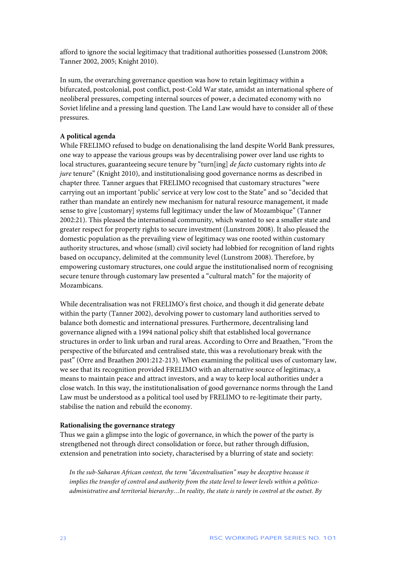afford to ignore the social legitimacy that traditional authorities possessed (Lunstrom 2008; Tanner 2002, 2005; Knight 2010).

In sum, the overarching governance question was how to retain legitimacy within a bifurcated, postcolonial, post conflict, post-Cold War state, amidst an international sphere of neoliberal pressures, competing internal sources of power, a decimated economy with no Soviet lifeline and a pressing land question. The Land Law would have to consider all of these pressures.

### **A political agenda**

While FRELIMO refused to budge on denationalising the land despite World Bank pressures, one way to appease the various groups was by decentralising power over land use rights to local structures, guaranteeing secure tenure by "turn[ing] *de facto* customary rights into *de jure* tenure" (Knight 2010), and institutionalising good governance norms as described in chapter three. Tanner argues that FRELIMO recognised that customary structures "were carrying out an important 'public' service at very low cost to the State" and so "decided that rather than mandate an entirely new mechanism for natural resource management, it made sense to give [customary] systems full legitimacy under the law of Mozambique" (Tanner 2002:21). This pleased the international community, which wanted to see a smaller state and greater respect for property rights to secure investment (Lunstrom 2008). It also pleased the domestic population as the prevailing view of legitimacy was one rooted within customary authority structures, and whose (small) civil society had lobbied for recognition of land rights based on occupancy, delimited at the community level (Lunstrom 2008). Therefore, by empowering customary structures, one could argue the institutionalised norm of recognising secure tenure through customary law presented a "cultural match" for the majority of Mozambicans.

While decentralisation was not FRELIMO's first choice, and though it did generate debate within the party (Tanner 2002), devolving power to customary land authorities served to balance both domestic and international pressures. Furthermore, decentralising land governance aligned with a 1994 national policy shift that established local governance structures in order to link urban and rural areas. According to Orre and Braathen, "From the perspective of the bifurcated and centralised state, this was a revolutionary break with the past" (Orre and Braathen 2001:212-213). When examining the political uses of customary law, we see that its recognition provided FRELIMO with an alternative source of legitimacy, a means to maintain peace and attract investors, and a way to keep local authorities under a close watch. In this way, the institutionalisation of good governance norms through the Land Law must be understood as a political tool used by FRELIMO to re-legitimate their party, stabilise the nation and rebuild the economy.

#### **Rationalising the governance strategy**

Thus we gain a glimpse into the logic of governance, in which the power of the party is strengthened not through direct consolidation or force, but rather through diffusion, extension and penetration into society, characterised by a blurring of state and society:

*In the sub-Saharan African context, the term "decentralisation" may be deceptive because it implies the transfer of control and authority from the state level to lower levels within a politicoadministrative and territorial hierarchy…In reality, the state is rarely in control at the outset. By*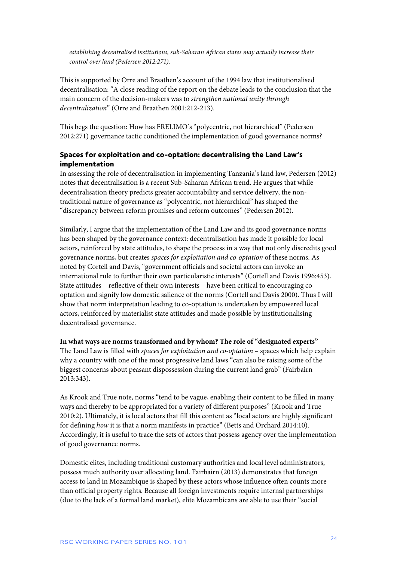*establishing decentralised institutions, sub-Saharan African states may actually increase their control over land (Pedersen 2012:271).* 

This is supported by Orre and Braathen's account of the 1994 law that institutionalised decentralisation: "A close reading of the report on the debate leads to the conclusion that the main concern of the decision-makers was to *strengthen national unity through decentralization*" (Orre and Braathen 2001:212-213).

This begs the question: How has FRELIMO's "polycentric, not hierarchical" (Pedersen 2012:271) governance tactic conditioned the implementation of good governance norms?

## **Spaces for exploitation and co-optation: decentralising the Land Law's implementation**

In assessing the role of decentralisation in implementing Tanzania's land law, Pedersen (2012) notes that decentralisation is a recent Sub-Saharan African trend. He argues that while decentralisation theory predicts greater accountability and service delivery, the nontraditional nature of governance as "polycentric, not hierarchical" has shaped the "discrepancy between reform promises and reform outcomes" (Pedersen 2012).

Similarly, I argue that the implementation of the Land Law and its good governance norms has been shaped by the governance context: decentralisation has made it possible for local actors, reinforced by state attitudes, to shape the process in a way that not only discredits good governance norms, but creates *spaces for exploitation and co-optation* of these norms. As noted by Cortell and Davis, "government officials and societal actors can invoke an international rule to further their own particularistic interests" (Cortell and Davis 1996:453). State attitudes – reflective of their own interests – have been critical to encouraging cooptation and signify low domestic salience of the norms (Cortell and Davis 2000). Thus I will show that norm interpretation leading to co-optation is undertaken by empowered local actors, reinforced by materialist state attitudes and made possible by institutionalising decentralised governance.

# **In what ways are norms transformed and by whom? The role of "designated experts"** The Land Law is filled with *spaces for exploitation and co-optation* – spaces which help explain why a country with one of the most progressive land laws "can also be raising some of the biggest concerns about peasant dispossession during the current land grab" (Fairbairn 2013:343).

As Krook and True note, norms "tend to be vague, enabling their content to be filled in many ways and thereby to be appropriated for a variety of different purposes" (Krook and True 2010:2). Ultimately, it is local actors that fill this content as "local actors are highly significant for defining *how* it is that a norm manifests in practice" (Betts and Orchard 2014:10). Accordingly, it is useful to trace the sets of actors that possess agency over the implementation of good governance norms.

Domestic elites, including traditional customary authorities and local level administrators, possess much authority over allocating land. Fairbairn (2013) demonstrates that foreign access to land in Mozambique is shaped by these actors whose influence often counts more than official property rights. Because all foreign investments require internal partnerships (due to the lack of a formal land market), elite Mozambicans are able to use their "social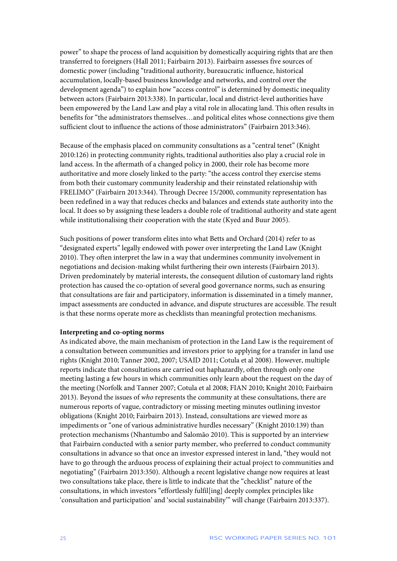power" to shape the process of land acquisition by domestically acquiring rights that are then transferred to foreigners (Hall 2011; Fairbairn 2013). Fairbairn assesses five sources of domestic power (including "traditional authority, bureaucratic influence, historical accumulation, locally-based business knowledge and networks, and control over the development agenda") to explain how "access control" is determined by domestic inequality between actors (Fairbairn 2013:338). In particular, local and district-level authorities have been empowered by the Land Law and play a vital role in allocating land. This often results in benefits for "the administrators themselves…and political elites whose connections give them sufficient clout to influence the actions of those administrators" (Fairbairn 2013:346).

Because of the emphasis placed on community consultations as a "central tenet" (Knight 2010:126) in protecting community rights, traditional authorities also play a crucial role in land access. In the aftermath of a changed policy in 2000, their role has become more authoritative and more closely linked to the party: "the access control they exercise stems from both their customary community leadership and their reinstated relationship with FRELIMO" (Fairbairn 2013:344). Through Decree 15/2000, community representation has been redefined in a way that reduces checks and balances and extends state authority into the local. It does so by assigning these leaders a double role of traditional authority and state agent while institutionalising their cooperation with the state (Kyed and Buur 2005).

Such positions of power transform elites into what Betts and Orchard (2014) refer to as "designated experts" legally endowed with power over interpreting the Land Law (Knight 2010). They often interpret the law in a way that undermines community involvement in negotiations and decision-making whilst furthering their own interests (Fairbairn 2013). Driven predominately by material interests, the consequent dilution of customary land rights protection has caused the co-optation of several good governance norms, such as ensuring that consultations are fair and participatory, information is disseminated in a timely manner, impact assessments are conducted in advance, and dispute structures are accessible. The result is that these norms operate more as checklists than meaningful protection mechanisms.

### **Interpreting and co-opting norms**

As indicated above, the main mechanism of protection in the Land Law is the requirement of a consultation between communities and investors prior to applying for a transfer in land use rights (Knight 2010; Tanner 2002, 2007; USAID 2011; Cotula et al 2008). However, multiple reports indicate that consultations are carried out haphazardly, often through only one meeting lasting a few hours in which communities only learn about the request on the day of the meeting (Norfolk and Tanner 2007; Cotula et al 2008; FIAN 2010; Knight 2010; Fairbairn 2013). Beyond the issues of *who* represents the community at these consultations, there are numerous reports of vague, contradictory or missing meeting minutes outlining investor obligations (Knight 2010; Fairbairn 2013). Instead, consultations are viewed more as impediments or "one of various administrative hurdles necessary" (Knight 2010:139) than protection mechanisms (Nhantumbo and Salomão 2010). This is supported by an interview that Fairbairn conducted with a senior party member, who preferred to conduct community consultations in advance so that once an investor expressed interest in land, "they would not have to go through the arduous process of explaining their actual project to communities and negotiating" (Fairbairn 2013:350). Although a recent legislative change now requires at least two consultations take place, there is little to indicate that the "checklist" nature of the consultations, in which investors "effortlessly fulfil[ing] deeply complex principles like 'consultation and participation' and 'social sustainability'" will change (Fairbairn 2013:337).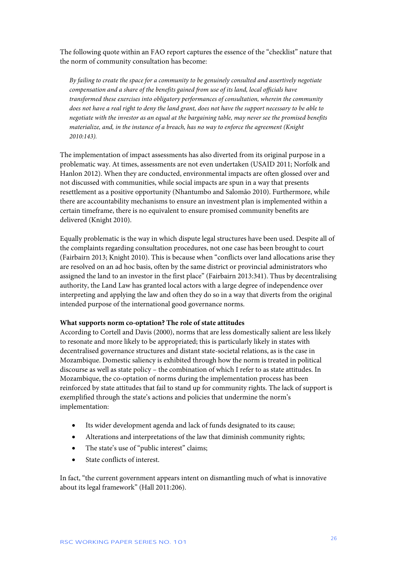The following quote within an FAO report captures the essence of the "checklist" nature that the norm of community consultation has become:

*By failing to create the space for a community to be genuinely consulted and assertively negotiate compensation and a share of the benefits gained from use of its land, local officials have transformed these exercises into obligatory performances of consultation, wherein the community does not have a real right to deny the land grant, does not have the support necessary to be able to negotiate with the investor as an equal at the bargaining table, may never see the promised benefits materialize, and, in the instance of a breach, has no way to enforce the agreement (Knight 2010:143).*

The implementation of impact assessments has also diverted from its original purpose in a problematic way. At times, assessments are not even undertaken (USAID 2011; Norfolk and Hanlon 2012). When they are conducted, environmental impacts are often glossed over and not discussed with communities, while social impacts are spun in a way that presents resettlement as a positive opportunity (Nhantumbo and Salomão 2010). Furthermore, while there are accountability mechanisms to ensure an investment plan is implemented within a certain timeframe, there is no equivalent to ensure promised community benefits are delivered (Knight 2010).

Equally problematic is the way in which dispute legal structures have been used. Despite all of the complaints regarding consultation procedures, not one case has been brought to court (Fairbairn 2013; Knight 2010). This is because when "conflicts over land allocations arise they are resolved on an ad hoc basis, often by the same district or provincial administrators who assigned the land to an investor in the first place" (Fairbairn 2013:341). Thus by decentralising authority, the Land Law has granted local actors with a large degree of independence over interpreting and applying the law and often they do so in a way that diverts from the original intended purpose of the international good governance norms.

#### **What supports norm co-optation? The role of state attitudes**

According to Cortell and Davis (2000), norms that are less domestically salient are less likely to resonate and more likely to be appropriated; this is particularly likely in states with decentralised governance structures and distant state-societal relations, as is the case in Mozambique. Domestic saliency is exhibited through how the norm is treated in political discourse as well as state policy – the combination of which I refer to as state attitudes. In Mozambique, the co-optation of norms during the implementation process has been reinforced by state attitudes that fail to stand up for community rights. The lack of support is exemplified through the state's actions and policies that undermine the norm's implementation:

- Its wider development agenda and lack of funds designated to its cause;
- Alterations and interpretations of the law that diminish community rights;
- The state's use of "public interest" claims;
- State conflicts of interest.

In fact, "the current government appears intent on dismantling much of what is innovative about its legal framework" (Hall 2011:206).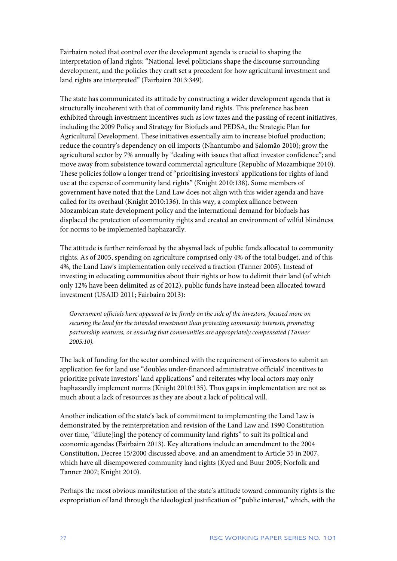Fairbairn noted that control over the development agenda is crucial to shaping the interpretation of land rights: "National-level politicians shape the discourse surrounding development, and the policies they craft set a precedent for how agricultural investment and land rights are interpreted" (Fairbairn 2013:349).

The state has communicated its attitude by constructing a wider development agenda that is structurally incoherent with that of community land rights. This preference has been exhibited through investment incentives such as low taxes and the passing of recent initiatives, including the 2009 Policy and Strategy for Biofuels and PEDSA, the Strategic Plan for Agricultural Development. These initiatives essentially aim to increase biofuel production; reduce the country's dependency on oil imports (Nhantumbo and Salomão 2010); grow the agricultural sector by 7% annually by "dealing with issues that affect investor confidence"; and move away from subsistence toward commercial agriculture (Republic of Mozambique 2010). These policies follow a longer trend of "prioritising investors' applications for rights of land use at the expense of community land rights" (Knight 2010:138). Some members of government have noted that the Land Law does not align with this wider agenda and have called for its overhaul (Knight 2010:136). In this way, a complex alliance between Mozambican state development policy and the international demand for biofuels has displaced the protection of community rights and created an environment of wilful blindness for norms to be implemented haphazardly.

The attitude is further reinforced by the abysmal lack of public funds allocated to community rights. As of 2005, spending on agriculture comprised only 4% of the total budget, and of this 4%, the Land Law's implementation only received a fraction (Tanner 2005). Instead of investing in educating communities about their rights or how to delimit their land (of which only 12% have been delimited as of 2012), public funds have instead been allocated toward investment (USAID 2011; Fairbairn 2013):

*Government officials have appeared to be firmly on the side of the investors, focused more on securing the land for the intended investment than protecting community interests, promoting partnership ventures, or ensuring that communities are appropriately compensated (Tanner 2005:10).*

The lack of funding for the sector combined with the requirement of investors to submit an application fee for land use "doubles under-financed administrative officials' incentives to prioritize private investors' land applications" and reiterates why local actors may only haphazardly implement norms (Knight 2010:135). Thus gaps in implementation are not as much about a lack of resources as they are about a lack of political will.

Another indication of the state's lack of commitment to implementing the Land Law is demonstrated by the reinterpretation and revision of the Land Law and 1990 Constitution over time, "dilute[ing] the potency of community land rights" to suit its political and economic agendas (Fairbairn 2013). Key alterations include an amendment to the 2004 Constitution, Decree 15/2000 discussed above, and an amendment to Article 35 in 2007, which have all disempowered community land rights (Kyed and Buur 2005; Norfolk and Tanner 2007; Knight 2010).

Perhaps the most obvious manifestation of the state's attitude toward community rights is the expropriation of land through the ideological justification of "public interest," which, with the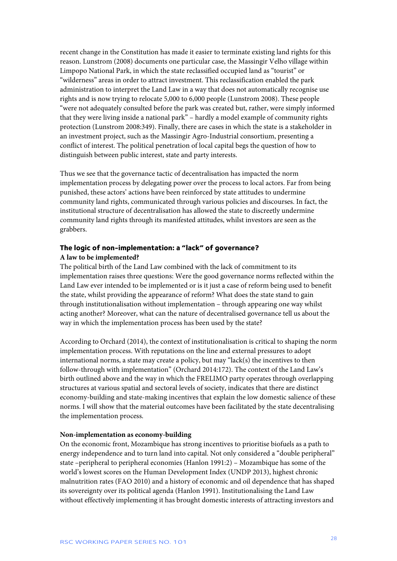recent change in the Constitution has made it easier to terminate existing land rights for this reason. Lunstrom (2008) documents one particular case, the Massingir Velho village within Limpopo National Park, in which the state reclassified occupied land as "tourist" or "wilderness" areas in order to attract investment. This reclassification enabled the park administration to interpret the Land Law in a way that does not automatically recognise use rights and is now trying to relocate 5,000 to 6,000 people (Lunstrom 2008). These people "were not adequately consulted before the park was created but, rather, were simply informed that they were living inside a national park" – hardly a model example of community rights protection (Lunstrom 2008:349). Finally, there are cases in which the state is a stakeholder in an investment project, such as the Massingir Agro-Industrial consortium, presenting a conflict of interest. The political penetration of local capital begs the question of how to distinguish between public interest, state and party interests.

Thus we see that the governance tactic of decentralisation has impacted the norm implementation process by delegating power over the process to local actors. Far from being punished, these actors' actions have been reinforced by state attitudes to undermine community land rights, communicated through various policies and discourses. In fact, the institutional structure of decentralisation has allowed the state to discreetly undermine community land rights through its manifested attitudes, whilst investors are seen as the grabbers.

# **The logic of non-implementation: a "lack" of governance? A law to be implemented?**

The political birth of the Land Law combined with the lack of commitment to its implementation raises three questions: Were the good governance norms reflected within the Land Law ever intended to be implemented or is it just a case of reform being used to benefit the state, whilst providing the appearance of reform? What does the state stand to gain through institutionalisation without implementation – through appearing one way whilst acting another? Moreover, what can the nature of decentralised governance tell us about the way in which the implementation process has been used by the state?

According to Orchard (2014), the context of institutionalisation is critical to shaping the norm implementation process. With reputations on the line and external pressures to adopt international norms, a state may create a policy, but may "lack(s) the incentives to then follow-through with implementation" (Orchard 2014:172). The context of the Land Law's birth outlined above and the way in which the FRELIMO party operates through overlapping structures at various spatial and sectoral levels of society, indicates that there are distinct economy-building and state-making incentives that explain the low domestic salience of these norms. I will show that the material outcomes have been facilitated by the state decentralising the implementation process.

# **Non-implementation as economy-building**

On the economic front, Mozambique has strong incentives to prioritise biofuels as a path to energy independence and to turn land into capital. Not only considered a "double peripheral" state –peripheral to peripheral economies (Hanlon 1991:2) – Mozambique has some of the world's lowest scores on the Human Development Index (UNDP 2013), highest chronic malnutrition rates (FAO 2010) and a history of economic and oil dependence that has shaped its sovereignty over its political agenda (Hanlon 1991). Institutionalising the Land Law without effectively implementing it has brought domestic interests of attracting investors and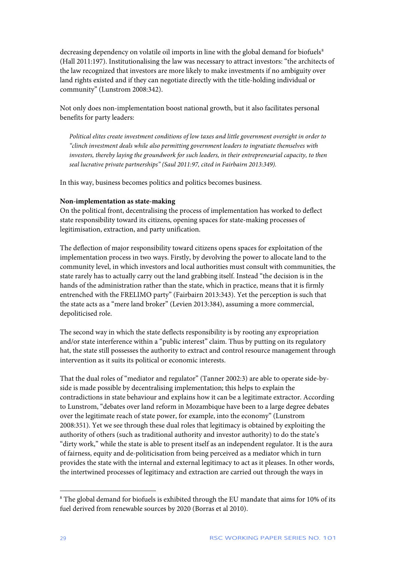decreasing dependency on volatile oil imports in line with the global demand for biofuels<sup>[8](#page-29-0)</sup> (Hall 2011:197). Institutionalising the law was necessary to attract investors: "the architects of the law recognized that investors are more likely to make investments if no ambiguity over land rights existed and if they can negotiate directly with the title-holding individual or community" (Lunstrom 2008:342).

Not only does non-implementation boost national growth, but it also facilitates personal benefits for party leaders:

*Political elites create investment conditions of low taxes and little government oversight in order to "clinch investment deals while also permitting government leaders to ingratiate themselves with investors, thereby laying the groundwork for such leaders, in their entrepreneurial capacity, to then seal lucrative private partnerships" (Saul 2011:97, cited in Fairbairn 2013:349).* 

In this way, business becomes politics and politics becomes business.

### **Non-implementation as state-making**

On the political front, decentralising the process of implementation has worked to deflect state responsibility toward its citizens, opening spaces for state-making processes of legitimisation, extraction, and party unification.

The deflection of major responsibility toward citizens opens spaces for exploitation of the implementation process in two ways. Firstly, by devolving the power to allocate land to the community level, in which investors and local authorities must consult with communities, the state rarely has to actually carry out the land grabbing itself. Instead "the decision is in the hands of the administration rather than the state, which in practice, means that it is firmly entrenched with the FRELIMO party" (Fairbairn 2013:343). Yet the perception is such that the state acts as a "mere land broker" (Levien 2013:384), assuming a more commercial, depoliticised role.

The second way in which the state deflects responsibility is by rooting any expropriation and/or state interference within a "public interest" claim. Thus by putting on its regulatory hat, the state still possesses the authority to extract and control resource management through intervention as it suits its political or economic interests.

That the dual roles of "mediator and regulator" (Tanner 2002:3) are able to operate side-byside is made possible by decentralising implementation; this helps to explain the contradictions in state behaviour and explains how it can be a legitimate extractor. According to Lunstrom, "debates over land reform in Mozambique have been to a large degree debates over the legitimate reach of state power, for example, into the economy" (Lunstrom 2008:351). Yet we see through these dual roles that legitimacy is obtained by exploiting the authority of others (such as traditional authority and investor authority) to do the state's "dirty work," while the state is able to present itself as an independent regulator. It is the aura of fairness, equity and de-politicisation from being perceived as a mediator which in turn provides the state with the internal and external legitimacy to act as it pleases. In other words, the intertwined processes of legitimacy and extraction are carried out through the ways in

1

<span id="page-29-0"></span><sup>&</sup>lt;sup>8</sup> The global demand for biofuels is exhibited through the EU mandate that aims for 10% of its fuel derived from renewable sources by 2020 (Borras et al 2010).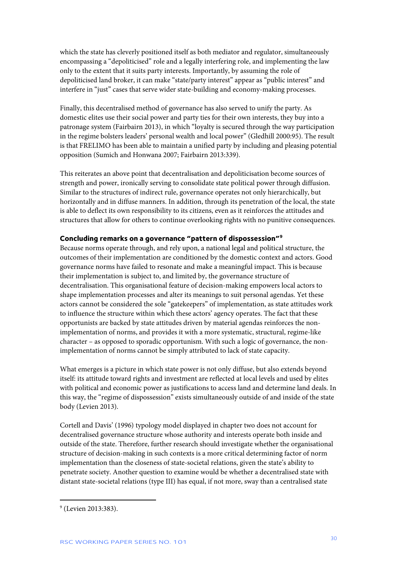which the state has cleverly positioned itself as both mediator and regulator, simultaneously encompassing a "depoliticised" role and a legally interfering role, and implementing the law only to the extent that it suits party interests. Importantly, by assuming the role of depoliticised land broker, it can make "state/party interest" appear as "public interest" and interfere in "just" cases that serve wider state-building and economy-making processes.

Finally, this decentralised method of governance has also served to unify the party. As domestic elites use their social power and party ties for their own interests, they buy into a patronage system (Fairbairn 2013), in which "loyalty is secured through the way participation in the regime bolsters leaders' personal wealth and local power" (Gledhill 2000:95). The result is that FRELIMO has been able to maintain a unified party by including and pleasing potential opposition (Sumich and Honwana 2007; Fairbairn 2013:339).

This reiterates an above point that decentralisation and depoliticisation become sources of strength and power, ironically serving to consolidate state political power through diffusion. Similar to the structures of indirect rule, governance operates not only hierarchically, but horizontally and in diffuse manners. In addition, through its penetration of the local, the state is able to deflect its own responsibility to its citizens, even as it reinforces the attitudes and structures that allow for others to continue overlooking rights with no punitive consequences.

# **Concluding remarks on a governance "pattern of dispossession"[9](#page-30-0)**

Because norms operate through, and rely upon, a national legal and political structure, the outcomes of their implementation are conditioned by the domestic context and actors. Good governance norms have failed to resonate and make a meaningful impact. This is because their implementation is subject to, and limited by, the governance structure of decentralisation. This organisational feature of decision-making empowers local actors to shape implementation processes and alter its meanings to suit personal agendas. Yet these actors cannot be considered the sole "gatekeepers" of implementation, as state attitudes work to influence the structure within which these actors' agency operates. The fact that these opportunists are backed by state attitudes driven by material agendas reinforces the nonimplementation of norms, and provides it with a more systematic, structural, regime-like character – as opposed to sporadic opportunism. With such a logic of governance, the nonimplementation of norms cannot be simply attributed to lack of state capacity.

What emerges is a picture in which state power is not only diffuse, but also extends beyond itself: its attitude toward rights and investment are reflected at local levels and used by elites with political and economic power as justifications to access land and determine land deals. In this way, the "regime of dispossession" exists simultaneously outside of and inside of the state body (Levien 2013).

Cortell and Davis' (1996) typology model displayed in chapter two does not account for decentralised governance structure whose authority and interests operate both inside and outside of the state. Therefore, further research should investigate whether the organisational structure of decision-making in such contexts is a more critical determining factor of norm implementation than the closeness of state-societal relations, given the state's ability to penetrate society. Another question to examine would be whether a decentralised state with distant state-societal relations (type III) has equal, if not more, sway than a centralised state

1

<span id="page-30-0"></span><sup>9</sup> (Levien 2013:383).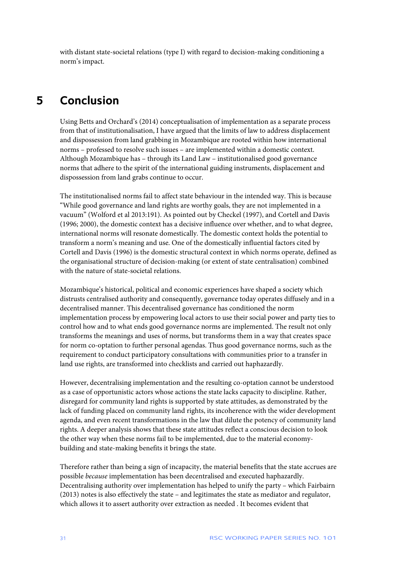with distant state-societal relations (type I) with regard to decision-making conditioning a norm's impact.

# <span id="page-31-0"></span>**5 Conclusion**

Using Betts and Orchard's (2014) conceptualisation of implementation as a separate process from that of institutionalisation, I have argued that the limits of law to address displacement and dispossession from land grabbing in Mozambique are rooted within how international norms – professed to resolve such issues – are implemented within a domestic context. Although Mozambique has – through its Land Law – institutionalised good governance norms that adhere to the spirit of the international guiding instruments, displacement and dispossession from land grabs continue to occur.

The institutionalised norms fail to affect state behaviour in the intended way. This is because "While good governance and land rights are worthy goals, they are not implemented in a vacuum" (Wolford et al 2013:191). As pointed out by Checkel (1997), and Cortell and Davis (1996; 2000), the domestic context has a decisive influence over whether, and to what degree, international norms will resonate domestically. The domestic context holds the potential to transform a norm's meaning and use. One of the domestically influential factors cited by Cortell and Davis (1996) is the domestic structural context in which norms operate, defined as the organisational structure of decision-making (or extent of state centralisation) combined with the nature of state-societal relations.

Mozambique's historical, political and economic experiences have shaped a society which distrusts centralised authority and consequently, governance today operates diffusely and in a decentralised manner. This decentralised governance has conditioned the norm implementation process by empowering local actors to use their social power and party ties to control how and to what ends good governance norms are implemented. The result not only transforms the meanings and uses of norms, but transforms them in a way that creates space for norm co-optation to further personal agendas. Thus good governance norms, such as the requirement to conduct participatory consultations with communities prior to a transfer in land use rights, are transformed into checklists and carried out haphazardly.

However, decentralising implementation and the resulting co-optation cannot be understood as a case of opportunistic actors whose actions the state lacks capacity to discipline. Rather, disregard for community land rights is supported by state attitudes, as demonstrated by the lack of funding placed on community land rights, its incoherence with the wider development agenda, and even recent transformations in the law that dilute the potency of community land rights. A deeper analysis shows that these state attitudes reflect a conscious decision to look the other way when these norms fail to be implemented, due to the material economybuilding and state-making benefits it brings the state.

Therefore rather than being a sign of incapacity, the material benefits that the state accrues are possible *because* implementation has been decentralised and executed haphazardly. Decentralising authority over implementation has helped to unify the party – which Fairbairn (2013) notes is also effectively the state – and legitimates the state as mediator and regulator, which allows it to assert authority over extraction as needed . It becomes evident that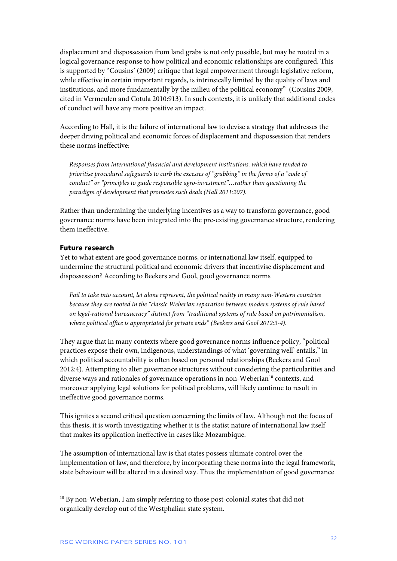displacement and dispossession from land grabs is not only possible, but may be rooted in a logical governance response to how political and economic relationships are configured. This is supported by "Cousins' (2009) critique that legal empowerment through legislative reform, while effective in certain important regards, is intrinsically limited by the quality of laws and institutions, and more fundamentally by the milieu of the political economy" (Cousins 2009, cited in Vermeulen and Cotula 2010:913). In such contexts, it is unlikely that additional codes of conduct will have any more positive an impact.

According to Hall, it is the failure of international law to devise a strategy that addresses the deeper driving political and economic forces of displacement and dispossession that renders these norms ineffective:

*Responses from international financial and development institutions, which have tended to prioritise procedural safeguards to curb the excesses of "grabbing" in the forms of a "code of conduct" or "principles to guide responsible agro-investment"…rather than questioning the paradigm of development that promotes such deals (Hall 2011:207).* 

Rather than undermining the underlying incentives as a way to transform governance, good governance norms have been integrated into the pre-existing governance structure, rendering them ineffective.

#### **Future research**

Yet to what extent are good governance norms, or international law itself, equipped to undermine the structural political and economic drivers that incentivise displacement and dispossession? According to Beekers and Gool, good governance norms

*Fail to take into account, let alone represent, the political reality in many non-Western countries because they are rooted in the "classic Weberian separation between modern systems of rule based on legal-rational bureaucracy" distinct from "traditional systems of rule based on patrimonialism, where political office is appropriated for private ends" (Beekers and Gool 2012:3-4).* 

They argue that in many contexts where good governance norms influence policy, "political practices expose their own, indigenous, understandings of what 'governing well' entails," in which political accountability is often based on personal relationships (Beekers and Gool 2012:4). Attempting to alter governance structures without considering the particularities and diverse ways and rationales of governance operations in non-Weberian<sup>10</sup> contexts, and moreover applying legal solutions for political problems, will likely continue to result in ineffective good governance norms.

This ignites a second critical question concerning the limits of law. Although not the focus of this thesis, it is worth investigating whether it is the statist nature of international law itself that makes its application ineffective in cases like Mozambique.

The assumption of international law is that states possess ultimate control over the implementation of law, and therefore, by incorporating these norms into the legal framework, state behaviour will be altered in a desired way. Thus the implementation of good governance

1

<span id="page-32-0"></span><sup>&</sup>lt;sup>10</sup> By non-Weberian, I am simply referring to those post-colonial states that did not organically develop out of the Westphalian state system.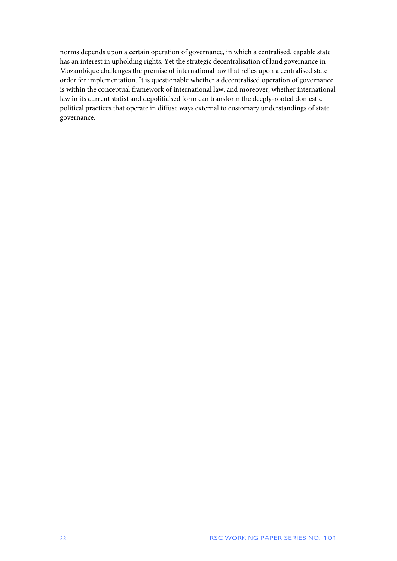norms depends upon a certain operation of governance, in which a centralised, capable state has an interest in upholding rights. Yet the strategic decentralisation of land governance in Mozambique challenges the premise of international law that relies upon a centralised state order for implementation. It is questionable whether a decentralised operation of governance is within the conceptual framework of international law, and moreover, whether international law in its current statist and depoliticised form can transform the deeply-rooted domestic political practices that operate in diffuse ways external to customary understandings of state governance.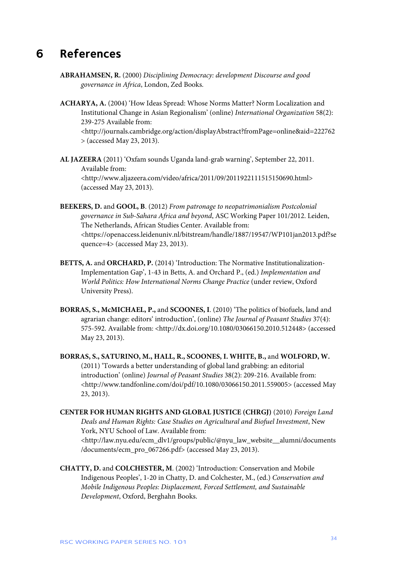# <span id="page-34-0"></span>**6 References**

- **ABRAHAMSEN, R.** (2000) *Disciplining Democracy: development Discourse and good governance in Africa*, London, Zed Books.
- **ACHARYA, A.** (2004) 'How Ideas Spread: Whose Norms Matter? Norm Localization and Institutional Change in Asian Regionalism' (online) *International Organization* 58(2): 239-275 Available from: <http://journals.cambridge.org/action/displayAbstract?fromPage=online&aid=222762 > (accessed May 23, 2013).
- **AL JAZEERA** (2011) 'Oxfam sounds Uganda land-grab warning', September 22, 2011. Available from: <http://www.aljazeera.com/video/africa/2011/09/2011922111515150690.html> (accessed May 23, 2013).
- **BEEKERS, D.** and **GOOL, B**. (2012) *From patronage to neopatrimonialism Postcolonial governance in Sub-Sahara Africa and beyond*, ASC Working Paper 101/2012. Leiden, The Netherlands, African Studies Center. Available from: <https://openaccess.leidenuniv.nl/bitstream/handle/1887/19547/WP101jan2013.pdf?se quence=4> (accessed May 23, 2013).
- **BETTS, A.** and **ORCHARD, P.** (2014) 'Introduction: The Normative Institutionalization-Implementation Gap', 1-43 in Betts, A. and Orchard P., (ed.) *Implementation and World Politics: How International Norms Change Practice* (under review, Oxford University Press).
- **BORRAS, S., McMICHAEL, P.,** and **SCOONES, I**. (2010) 'The politics of biofuels, land and agrarian change: editors' introduction', (online) *The Journal of Peasant Studies* 37(4): 575-592. Available from: <http://dx.doi.org/10.1080/03066150.2010.512448> (accessed May 23, 2013).
- **BORRAS, S., SATURINO, M., HALL, R., SCOONES, I. WHITE, B.,** and **WOLFORD, W.** (2011) 'Towards a better understanding of global land grabbing: an editorial introduction' (online) *Journal of Peasant Studies* 38(2): 209-216. Available from: <http://www.tandfonline.com/doi/pdf/10.1080/03066150.2011.559005> (accessed May 23, 2013).
- **CENTER FOR HUMAN RIGHTS AND GLOBAL JUSTICE (CHRGJ)** (2010) *Foreign Land Deals and Human Rights: Case Studies on Agricultural and Biofuel Investment*, New York, NYU School of Law. Available from: <http://law.nyu.edu/ecm\_dlv1/groups/public/@nyu\_law\_website\_\_alumni/documents /documents/ecm\_pro\_067266.pdf> (accessed May 23, 2013).
- **CHATTY, D.** and **COLCHESTER, M**. (2002) 'Introduction: Conservation and Mobile Indigenous Peoples', 1-20 in Chatty, D. and Colchester, M., (ed.) *Conservation and Mobile Indigenous Peoples: Displacement, Forced Settlement, and Sustainable Development*, Oxford, Berghahn Books.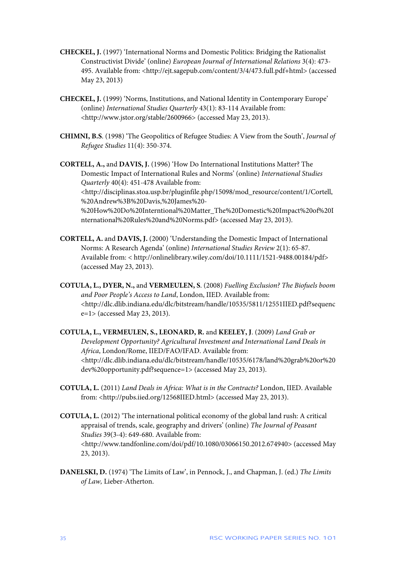- **CHECKEL, J.** (1997) 'International Norms and Domestic Politics: Bridging the Rationalist Constructivist Divide' (online) *European Journal of International Relations* 3(4): 473- 495. Available from: <http://ejt.sagepub.com/content/3/4/473.full.pdf+html> (accessed May 23, 2013)
- **CHECKEL, J.** (1999) 'Norms, Institutions, and National Identity in Contemporary Europe' (online) *International Studies Quarterly* 43(1): 83-114 Available from: <http://www.jstor.org/stable/2600966> (accessed May 23, 2013).
- **CHIMNI, B.S**. (1998) 'The Geopolitics of Refugee Studies: A View from the South', *Journal of Refugee Studies* 11(4): 350-374.

**CORTELL, A.,** and **DAVIS, J.** (1996) 'How Do International Institutions Matter? The Domestic Impact of International Rules and Norms' (online) *International Studies Quarterly* 40(4): 451-478 Available from: <http://disciplinas.stoa.usp.br/pluginfile.php/15098/mod\_resource/content/1/Cortell, %20Andrew%3B%20Davis,%20James%20- %20How%20Do%20Interntional%20Matter\_The%20Domestic%20Impact%20of%20I nternational%20Rules%20and%20Norms.pdf> (accessed May 23, 2013).

- **CORTELL, A.** and **DAVIS, J.** (2000) 'Understanding the Domestic Impact of International Norms: A Research Agenda' (online) *International Studies Review* 2(1): 65-87. Available from: < http://onlinelibrary.wiley.com/doi/10.1111/1521-9488.00184/pdf> (accessed May 23, 2013).
- **COTULA, L., DYER, N.,** and **VERMEULEN, S**. (2008) *Fuelling Exclusion? The Biofuels boom and Poor People's Access to Land*, London, IIED. Available from: <http://dlc.dlib.indiana.edu/dlc/bitstream/handle/10535/5811/12551IIED.pdf?sequenc e=1> (accessed May 23, 2013).
- **COTULA, L., VERMEULEN, S., LEONARD, R.** and **KEELEY, J**. (2009) *Land Grab or Development Opportunity? Agricultural Investment and International Land Deals in Africa*, London/Rome, IIED/FAO/IFAD. Available from: <http://dlc.dlib.indiana.edu/dlc/bitstream/handle/10535/6178/land%20grab%20or%20 dev%20opportunity.pdf?sequence=1> (accessed May 23, 2013).
- **COTULA, L.** (2011) *Land Deals in Africa: What is in the Contracts?* London, IIED. Available from: <http://pubs.iied.org/12568IIED.html> (accessed May 23, 2013).
- **COTULA, L.** (2012) 'The international political economy of the global land rush: A critical appraisal of trends, scale, geography and drivers' (online) *The Journal of Peasant Studies* 39(3-4): 649-680. Available from: <http://www.tandfonline.com/doi/pdf/10.1080/03066150.2012.674940> (accessed May 23, 2013).
- **DANELSKI, D.** (1974) 'The Limits of Law', in Pennock, J., and Chapman, J. (ed.) *The Limits of Law,* Lieber-Atherton.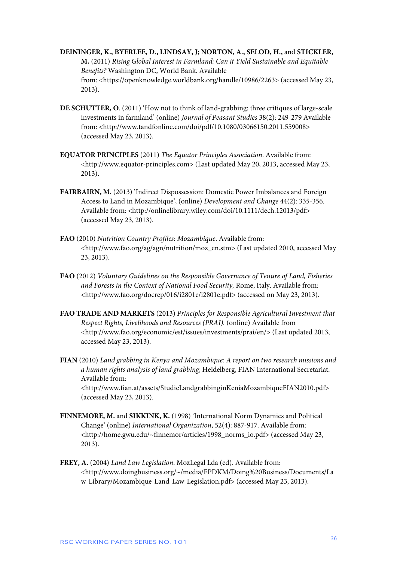**DEININGER, K., BYERLEE, D., LINDSAY, J; NORTON, A., SELOD, H.,** and **STICKLER, M.** (2011) *Rising Global Interest in Farmland: Can it Yield Sustainable and Equitable Benefits?* Washington DC, World Bank. Available from: <https://openknowledge.worldbank.org/handle/10986/2263> (accessed May 23, 2013).

- **DE SCHUTTER, O**. (2011) 'How not to think of land-grabbing: three critiques of large-scale investments in farmland' (online) *Journal of Peasant Studies* 38(2): 249-279 Available from: <http://www.tandfonline.com/doi/pdf/10.1080/03066150.2011.559008> (accessed May 23, 2013).
- **EQUATOR PRINCIPLES** (2011) *The Equator Principles Association*. Available from: <http://www.equator-principles.com> (Last updated May 20, 2013, accessed May 23, 2013).
- **FAIRBAIRN, M.** (2013) 'Indirect Dispossession: Domestic Power Imbalances and Foreign Access to Land in Mozambique', (online) *Development and Change* 44(2): 335-356. Available from: <http://onlinelibrary.wiley.com/doi/10.1111/dech.12013/pdf> (accessed May 23, 2013).
- **FAO** (2010) *Nutrition Country Profiles: Mozambique*. Available from: <http://www.fao.org/ag/agn/nutrition/moz\_en.stm> (Last updated 2010, accessed May 23, 2013).
- **FAO** (2012) *Voluntary Guidelines on the Responsible Governance of Tenure of Land, Fisheries and Forests in the Context of National Food Security,* Rome, Italy. Available from: <http://www.fao.org/docrep/016/i2801e/i2801e.pdf> (accessed on May 23, 2013).
- **FAO TRADE AND MARKETS** (2013) *Principles for Responsible Agricultural Investment that Respect Rights, Livelihoods and Resources (PRAI).* (online) Available from <http://www.fao.org/economic/est/issues/investments/prai/en/> (Last updated 2013, accessed May 23, 2013).
- **FIAN** (2010) *Land grabbing in Kenya and Mozambique: A report on two research missions and a human rights analysis of land grabbing*, Heidelberg, FIAN International Secretariat. Available from: <http://www.fian.at/assets/StudieLandgrabbinginKeniaMozambiqueFIAN2010.pdf> (accessed May 23, 2013).
- **FINNEMORE, M.** and **SIKKINK, K.** (1998) 'International Norm Dynamics and Political Change' (online) *International Organization*, 52(4): 887-917. Available from: <http://home.gwu.edu/~finnemor/articles/1998\_norms\_io.pdf> (accessed May 23, 2013).
- **FREY, A.** (2004) *Land Law Legislation*. MozLegal Lda (ed). Available from: <http://www.doingbusiness.org/~/media/FPDKM/Doing%20Business/Documents/La w-Library/Mozambique-Land-Law-Legislation.pdf> (accessed May 23, 2013).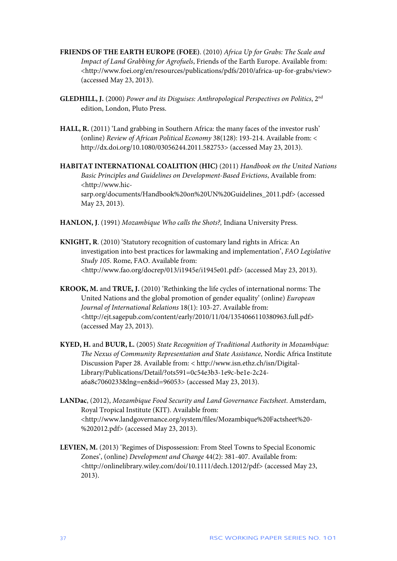- **FRIENDS OF THE EARTH EUROPE (FOEE)**. (2010) *Africa Up for Grabs: The Scale and Impact of Land Grabbing for Agrofuels*, Friends of the Earth Europe. Available from: <http://www.foei.org/en/resources/publications/pdfs/2010/africa-up-for-grabs/view> (accessed May 23, 2013).
- **GLEDHILL, J.** (2000) *Power and its Disguises: Anthropological Perspectives on Politics*, 2nd edition, London, Pluto Press.
- **HALL, R.** (2011) 'Land grabbing in Southern Africa: the many faces of the investor rush' (online) *Review of African Political Economy* 38(128): 193-214. Available from: < http://dx.doi.org/10.1080/03056244.2011.582753> (accessed May 23, 2013).

**HABITAT INTERNATIONAL COALITION (HIC)** (2011) *Handbook on the United Nations Basic Principles and Guidelines on Development-Based Evictions*, Available from: <http://www.hicsarp.org/documents/Handbook%20on%20UN%20Guidelines\_2011.pdf> (accessed May 23, 2013).

- **HANLON, J**. (1991) *Mozambique Who calls the Shots?,* Indiana University Press.
- **KNIGHT, R**. (2010) 'Statutory recognition of customary land rights in Africa: An investigation into best practices for lawmaking and implementation', *FAO Legislative Study 105*. Rome, FAO. Available from: <http://www.fao.org/docrep/013/i1945e/i1945e01.pdf> (accessed May 23, 2013).
- **KROOK, M.** and **TRUE, J.** (2010) 'Rethinking the life cycles of international norms: The United Nations and the global promotion of gender equality' (online) *European Journal of International Relations* 18(1): 103-27. Available from: <http://ejt.sagepub.com/content/early/2010/11/04/1354066110380963.full.pdf> (accessed May 23, 2013).
- **KYED, H.** and **BUUR, L.** (2005) *State Recognition of Traditional Authority in Mozambique: The Nexus of Community Representation and State Assistance,* Nordic Africa Institute Discussion Paper 28. Available from: < http://www.isn.ethz.ch/isn/Digital-Library/Publications/Detail/?ots591=0c54e3b3-1e9c-be1e-2c24 a6a8c7060233&lng=en&id=96053> (accessed May 23, 2013).
- **LANDac**, (2012), *Mozambique Food Security and Land Governance Factsheet*. Amsterdam, Royal Tropical Institute (KIT). Available from: <http://www.landgovernance.org/system/files/Mozambique%20Factsheet%20- %202012.pdf> (accessed May 23, 2013).
- **LEVIEN, M.** (2013) 'Regimes of Dispossession: From Steel Towns to Special Economic Zones', (online) *Development and Change* 44(2): 381-407. Available from: <http://onlinelibrary.wiley.com/doi/10.1111/dech.12012/pdf> (accessed May 23, 2013).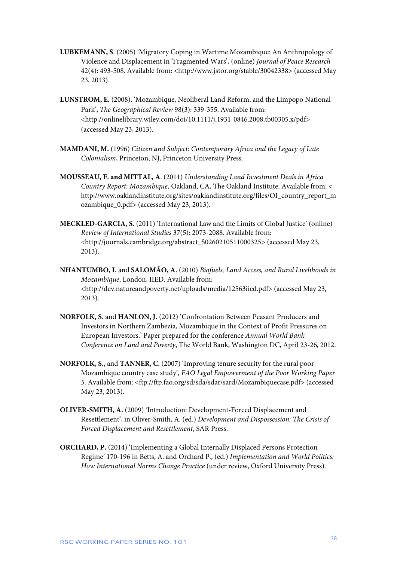- **LUBKEMANN, S**. (2005) 'Migratory Coping in Wartime Mozambique: An Anthropology of Violence and Displacement in 'Fragmented Wars', (online) *Journal of Peace Research* 42(4): 493-508. Available from: <http://www.jstor.org/stable/30042338> (accessed May 23, 2013).
- **LUNSTROM, E.** (2008). 'Mozambique, Neoliberal Land Reform, and the Limpopo National Park', *The Geographical Review* 98(3): 339-355. Available from: <http://onlinelibrary.wiley.com/doi/10.1111/j.1931-0846.2008.tb00305.x/pdf> (accessed May 23, 2013).
- **MAMDANI, M.** (1996) *Citizen and Subject: Contemporary Africa and the Legacy of Late Colonialism*, Princeton, NJ, Princeton University Press.
- **MOUSSEAU, F. and MITTAL, A**. (2011) *Understanding Land Investment Deals in Africa Country Report: Mozambique,* Oakland, CA, The Oakland Institute. Available from: < http://www.oaklandinstitute.org/sites/oaklandinstitute.org/files/OI\_country\_report\_m ozambique\_0.pdf> (accessed May 23, 2013).
- **MECKLED-GARCIA, S.** (2011) 'International Law and the Limits of Global Justice' (online) *Review of International Studies* 37(5): 2073-2088. Available from: <http://journals.cambridge.org/abstract\_S0260210511000325> (accessed May 23, 2013).
- **NHANTUMBO, I.** and **SALOMÃO, A.** (2010) *Biofuels, Land Access, and Rural Livelihoods in Mozambique*, London, IIED. Available from: <http://dev.natureandpoverty.net/uploads/media/12563iied.pdf> (accessed May 23, 2013).
- **NORFOLK, S.** and **HANLON, J.** (2012) 'Confrontation Between Peasant Producers and Investors in Northern Zambezia, Mozambique in the Context of Profit Pressures on European Investors.' Paper prepared for the conference *Annual World Bank Conference on Land and Poverty*, The World Bank, Washington DC, April 23-26, 2012.
- **NORFOLK, S.,** and **TANNER, C**. (2007) 'Improving tenure security for the rural poor Mozambique country case study', *FAO Legal Empowerment of the Poor Working Paper 5*. Available from: <ftp://ftp.fao.org/sd/sda/sdar/sard/Mozambiquecase.pdf> (accessed May 23, 2013).
- **OLIVER-SMITH, A.** (2009) 'Introduction: Development-Forced Displacement and Resettlement', in Oliver-Smith, A. (ed.) *Development and Dispossession: The Crisis of Forced Displacement and Resettlement*, SAR Press.
- **ORCHARD, P.** (2014) 'Implementing a Global Internally Displaced Persons Protection Regime' 170-196 in Betts, A. and Orchard P., (ed.) *Implementation and World Politics: How International Norms Change Practice* (under review, Oxford University Press).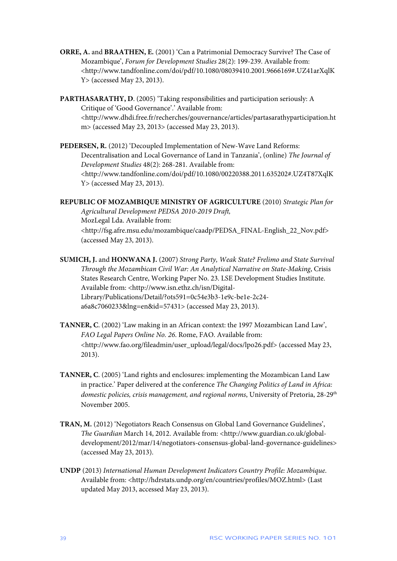- **ORRE, A.** and **BRAATHEN, E.** (2001) 'Can a Patrimonial Democracy Survive? The Case of Mozambique', *Forum for Development Studies* 28(2): 199-239. Available from: <http://www.tandfonline.com/doi/pdf/10.1080/08039410.2001.9666169#.UZ41arXqlK Y> (accessed May 23, 2013).
- **PARTHASARATHY, D**. (2005) 'Taking responsibilities and participation seriously: A Critique of 'Good Governance'.' Available from: <http://www.dhdi.free.fr/recherches/gouvernance/articles/partasarathyparticipation.ht m> (accessed May 23, 2013> (accessed May 23, 2013).
- **PEDERSEN, R.** (2012) 'Decoupled Implementation of New-Wave Land Reforms: Decentralisation and Local Governance of Land in Tanzania', (online) *The Journal of Development Studies* 48(2): 268-281. Available from: <http://www.tandfonline.com/doi/pdf/10.1080/00220388.2011.635202#.UZ4T87XqlK Y> (accessed May 23, 2013).
- **REPUBLIC OF MOZAMBIQUE MINISTRY OF AGRICULTURE** (2010) *Strategic Plan for Agricultural Development PEDSA 2010-2019 Draft,* MozLegal Lda. Available from: <http://fsg.afre.msu.edu/mozambique/caadp/PEDSA\_FINAL-English\_22\_Nov.pdf> (accessed May 23, 2013).
- **SUMICH, J.** and **HONWANA J.** (2007) *Strong Party, Weak State? Frelimo and State Survival Through the Mozambican Civil War: An Analytical Narrative on State-Making*, Crisis States Research Centre, Working Paper No. 23. LSE Development Studies Institute. Available from: <http://www.isn.ethz.ch/isn/Digital-Library/Publications/Detail/?ots591=0c54e3b3-1e9c-be1e-2c24 a6a8c7060233&lng=en&id=57431> (accessed May 23, 2013).
- **TANNER, C**. (2002) 'Law making in an African context: the 1997 Mozambican Land Law', *FAO Legal Papers Online No. 26*. Rome, FAO. Available from: <http://www.fao.org/fileadmin/user\_upload/legal/docs/lpo26.pdf> (accessed May 23, 2013).
- **TANNER, C**. (2005) 'Land rights and enclosures: implementing the Mozambican Land Law in practice.' Paper delivered at the conference *The Changing Politics of Land in Africa:*  domestic policies, crisis management, and regional norms, University of Pretoria, 28-29<sup>th</sup> November 2005.
- **TRAN, M.** (2012) 'Negotiators Reach Consensus on Global Land Governance Guidelines', *The Guardian* March 14, 2012. Available from: <http://www.guardian.co.uk/globaldevelopment/2012/mar/14/negotiators-consensus-global-land-governance-guidelines> (accessed May 23, 2013).
- **UNDP** (2013) *International Human Development Indicators Country Profile: Mozambique*. Available from: <http://hdrstats.undp.org/en/countries/profiles/MOZ.html> (Last updated May 2013, accessed May 23, 2013).